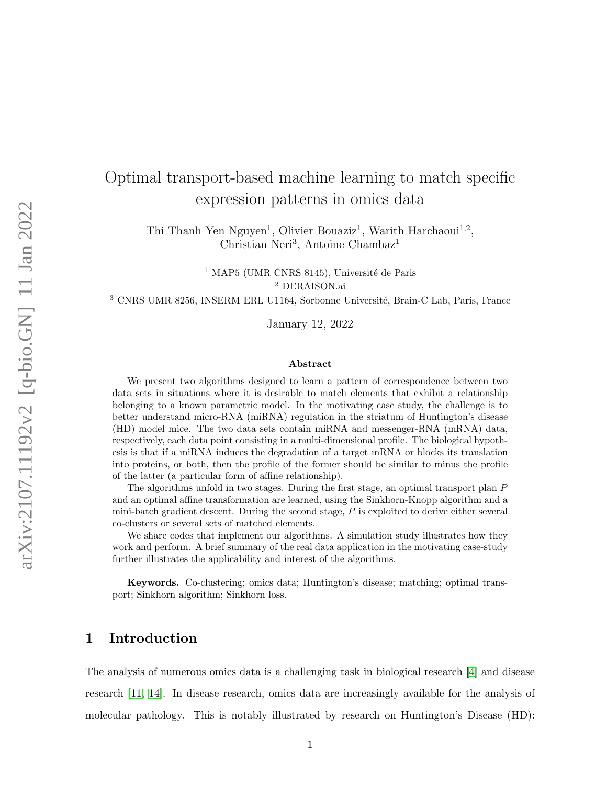# Optimal transport-based machine learning to match specific expression patterns in omics data

Thi Thanh Yen Nguyen<sup>1</sup>, Olivier Bouaziz<sup>1</sup>, Warith Harchaoui<sup>1,2</sup>, Christian Neri<sup>3</sup>, Antoine Chambaz<sup>1</sup>

> $^1$  MAP5 (UMR CNRS 8145), Université de Paris <sup>2</sup> DERAISON.ai

<sup>3</sup> CNRS UMR 8256, INSERM ERL U1164, Sorbonne Université, Brain-C Lab, Paris, France

January 12, 2022

#### Abstract

We present two algorithms designed to learn a pattern of correspondence between two data sets in situations where it is desirable to match elements that exhibit a relationship belonging to a known parametric model. In the motivating case study, the challenge is to better understand micro-RNA (miRNA) regulation in the striatum of Huntington's disease (HD) model mice. The two data sets contain miRNA and messenger-RNA (mRNA) data, respectively, each data point consisting in a multi-dimensional profile. The biological hypothesis is that if a miRNA induces the degradation of a target mRNA or blocks its translation into proteins, or both, then the profile of the former should be similar to minus the profile of the latter (a particular form of affine relationship).

The algorithms unfold in two stages. During the first stage, an optimal transport plan P and an optimal affine transformation are learned, using the Sinkhorn-Knopp algorithm and a mini-batch gradient descent. During the second stage, P is exploited to derive either several co-clusters or several sets of matched elements.

We share codes that implement our algorithms. A simulation study illustrates how they work and perform. A brief summary of the real data application in the motivating case-study further illustrates the applicability and interest of the algorithms.

Keywords. Co-clustering; omics data; Huntington's disease; matching; optimal transport; Sinkhorn algorithm; Sinkhorn loss.

# <span id="page-0-0"></span>1 Introduction

The analysis of numerous omics data is a challenging task in biological research [\[4\]](#page-28-0) and disease research [\[11,](#page-29-0) [14\]](#page-29-1). In disease research, omics data are increasingly available for the analysis of molecular pathology. This is notably illustrated by research on Huntington's Disease (HD):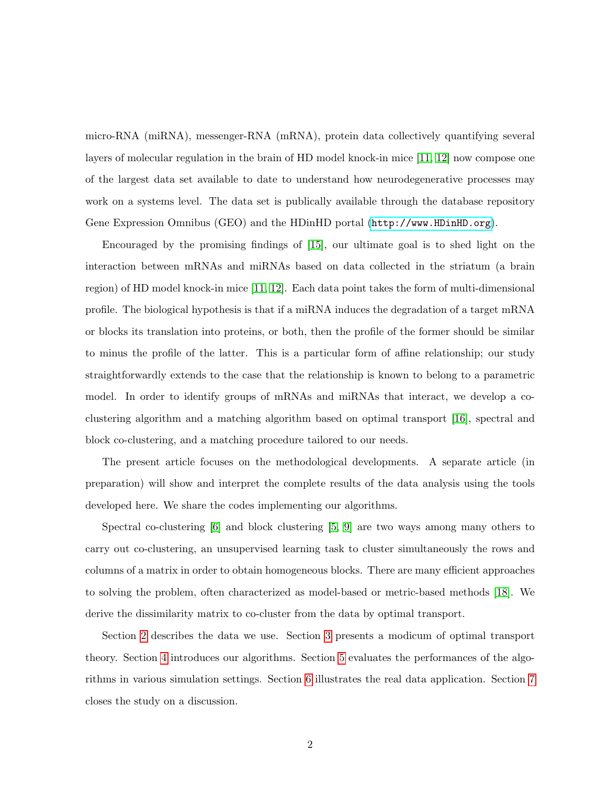micro-RNA (miRNA), messenger-RNA (mRNA), protein data collectively quantifying several layers of molecular regulation in the brain of HD model knock-in mice [\[11,](#page-29-0) [12\]](#page-29-2) now compose one of the largest data set available to date to understand how neurodegenerative processes may work on a systems level. The data set is publically available through the database repository Gene Expression Omnibus (GEO) and the HDinHD portal (<http://www.HDinHD.org>).

Encouraged by the promising findings of [\[15\]](#page-30-0), our ultimate goal is to shed light on the interaction between mRNAs and miRNAs based on data collected in the striatum (a brain region) of HD model knock-in mice [\[11,](#page-29-0) [12\]](#page-29-2). Each data point takes the form of multi-dimensional profile. The biological hypothesis is that if a miRNA induces the degradation of a target mRNA or blocks its translation into proteins, or both, then the profile of the former should be similar to minus the profile of the latter. This is a particular form of affine relationship; our study straightforwardly extends to the case that the relationship is known to belong to a parametric model. In order to identify groups of mRNAs and miRNAs that interact, we develop a coclustering algorithm and a matching algorithm based on optimal transport [\[16\]](#page-30-1), spectral and block co-clustering, and a matching procedure tailored to our needs.

The present article focuses on the methodological developments. A separate article (in preparation) will show and interpret the complete results of the data analysis using the tools developed here. We share the codes implementing our algorithms.

Spectral co-clustering [\[6\]](#page-28-1) and block clustering [\[5,](#page-28-2) [9\]](#page-29-3) are two ways among many others to carry out co-clustering, an unsupervised learning task to cluster simultaneously the rows and columns of a matrix in order to obtain homogeneous blocks. There are many efficient approaches to solving the problem, often characterized as model-based or metric-based methods [\[18\]](#page-30-2). We derive the dissimilarity matrix to co-cluster from the data by optimal transport.

Section [2](#page-2-0) describes the data we use. Section [3](#page-3-0) presents a modicum of optimal transport theory. Section [4](#page-4-0) introduces our algorithms. Section [5](#page-9-0) evaluates the performances of the algorithms in various simulation settings. Section [6](#page-22-0) illustrates the real data application. Section [7](#page-26-0) closes the study on a discussion.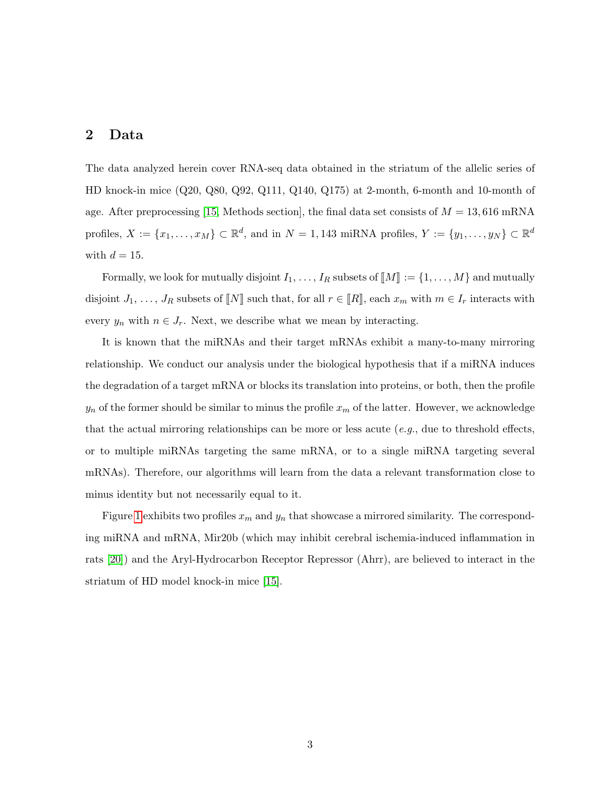# <span id="page-2-0"></span>2 Data

The data analyzed herein cover RNA-seq data obtained in the striatum of the allelic series of HD knock-in mice (Q20, Q80, Q92, Q111, Q140, Q175) at 2-month, 6-month and 10-month of age. After preprocessing [\[15,](#page-30-0) Methods section], the final data set consists of  $M = 13,616$  mRNA profiles,  $X := \{x_1, \ldots, x_M\} \subset \mathbb{R}^d$ , and in  $N = 1,143$  miRNA profiles,  $Y := \{y_1, \ldots, y_N\} \subset \mathbb{R}^d$ with  $d = 15$ .

Formally, we look for mutually disjoint  $I_1, \ldots, I_R$  subsets of  $\llbracket M \rrbracket := \{1, \ldots, M\}$  and mutually disjoint  $J_1, \ldots, J_R$  subsets of  $\llbracket N \rrbracket$  such that, for all  $r \in \llbracket R \rrbracket$ , each  $x_m$  with  $m \in I_r$  interacts with every  $y_n$  with  $n \in J_r$ . Next, we describe what we mean by interacting.

It is known that the miRNAs and their target mRNAs exhibit a many-to-many mirroring relationship. We conduct our analysis under the biological hypothesis that if a miRNA induces the degradation of a target mRNA or blocks its translation into proteins, or both, then the profile  $y_n$  of the former should be similar to minus the profile  $x_m$  of the latter. However, we acknowledge that the actual mirroring relationships can be more or less acute  $(e.g.,\,$  due to threshold effects, or to multiple miRNAs targeting the same mRNA, or to a single miRNA targeting several mRNAs). Therefore, our algorithms will learn from the data a relevant transformation close to minus identity but not necessarily equal to it.

Figure [1](#page-3-1) exhibits two profiles  $x_m$  and  $y_n$  that showcase a mirrored similarity. The corresponding miRNA and mRNA, Mir20b (which may inhibit cerebral ischemia-induced inflammation in rats [\[20\]](#page-30-3)) and the Aryl-Hydrocarbon Receptor Repressor (Ahrr), are believed to interact in the striatum of HD model knock-in mice [\[15\]](#page-30-0).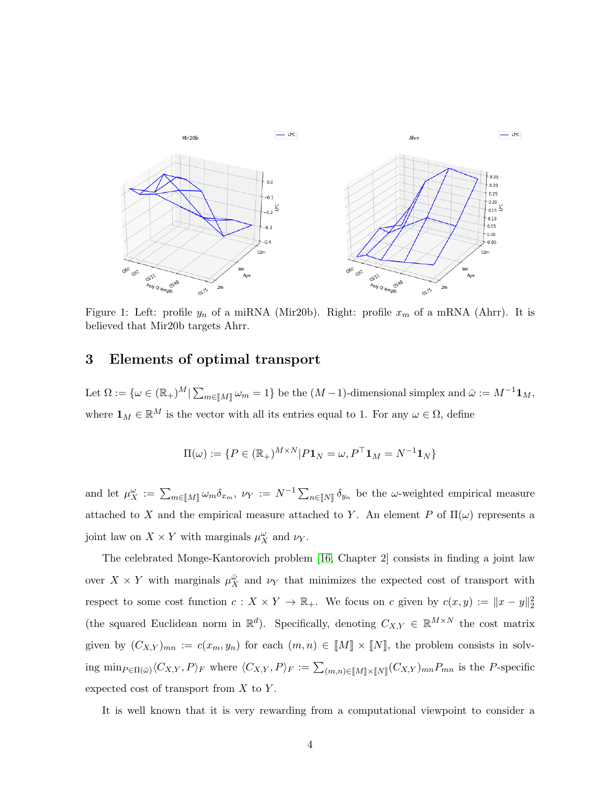<span id="page-3-1"></span>

Figure 1: Left: profile  $y_n$  of a miRNA (Mir20b). Right: profile  $x_m$  of a mRNA (Ahrr). It is believed that Mir20b targets Ahrr.

# <span id="page-3-0"></span>3 Elements of optimal transport

Let  $\Omega := \{ \omega \in (\mathbb{R}_+)^M | \sum_{m \in [\![M]\!]} \omega_m = 1 \}$  be the  $(M-1)$ -dimensional simplex and  $\bar{\omega} := M^{-1} \mathbf{1}_M$ , where  $\mathbf{1}_M \in \mathbb{R}^M$  is the vector with all its entries equal to 1. For any  $\omega \in \Omega$ , define

$$
\Pi(\omega) := \{ P \in (\mathbb{R}_+)^{M \times N} | P \mathbf{1}_N = \omega, P^\top \mathbf{1}_M = N^{-1} \mathbf{1}_N \}
$$

and let  $\mu_X^{\omega} := \sum_{m \in [M]} \omega_m \delta_{x_m}, \ \nu_Y := N^{-1} \sum_{n \in [N]} \delta_{y_n}$  be the  $\omega$ -weighted empirical measure attached to X and the empirical measure attached to Y. An element P of  $\Pi(\omega)$  represents a joint law on  $X \times Y$  with marginals  $\mu_X^{\omega}$  and  $\nu_Y$ .

The celebrated Monge-Kantorovich problem [\[16,](#page-30-1) Chapter 2] consists in finding a joint law over  $X \times Y$  with marginals  $\mu_X^{\bar{\omega}}$  and  $\nu_Y$  that minimizes the expected cost of transport with respect to some cost function  $c: X \times Y \to \mathbb{R}_+$ . We focus on c given by  $c(x, y) := \|x - y\|_2^2$ (the squared Euclidean norm in  $\mathbb{R}^d$ ). Specifically, denoting  $C_{X,Y} \in \mathbb{R}^{M \times N}$  the cost matrix given by  $(C_{X,Y})_{mn} := c(x_m, y_n)$  for each  $(m, n) \in [M] \times [N]$ , the problem consists in solving  $\min_{P \in \Pi(\bar{\omega})} \langle C_{X,Y}, P \rangle_F$  where  $\langle C_{X,Y}, P \rangle_F := \sum_{(m,n) \in [M] \times [N]} (C_{X,Y})_{mn} P_{mn}$  is the P-specific expected cost of transport from  $X$  to  $Y$ .

It is well known that it is very rewarding from a computational viewpoint to consider a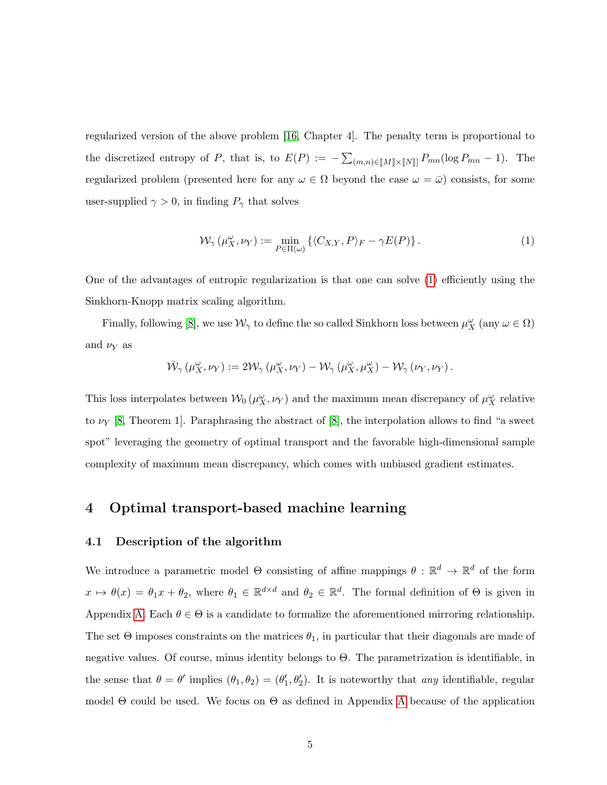regularized version of the above problem [\[16,](#page-30-1) Chapter 4]. The penalty term is proportional to the discretized entropy of P, that is, to  $E(P) := -\sum_{(m,n)\in[M]\times[N]]} P_{mn}(\log P_{mn} - 1)$ . The regularized problem (presented here for any  $\omega \in \Omega$  beyond the case  $\omega = \bar{\omega}$ ) consists, for some user-supplied  $\gamma > 0$ , in finding  $P_{\gamma}$  that solves

<span id="page-4-1"></span>
$$
\mathcal{W}_{\gamma}(\mu_X^{\omega}, \nu_Y) := \min_{P \in \Pi(\omega)} \left\{ \langle C_{X,Y}, P \rangle_F - \gamma E(P) \right\}.
$$
 (1)

One of the advantages of entropic regularization is that one can solve [\(1\)](#page-4-1) efficiently using the Sinkhorn-Knopp matrix scaling algorithm.

Finally, following [\[8\]](#page-29-4), we use  $\mathcal{W}_{\gamma}$  to define the so called Sinkhorn loss between  $\mu_X^{\omega}$  (any  $\omega \in \Omega$ ) and  $\nu_Y$  as

$$
\bar{\mathcal{W}}_{\gamma}(\mu_X^{\omega}, \nu_Y) := 2\mathcal{W}_{\gamma}(\mu_X^{\omega}, \nu_Y) - \mathcal{W}_{\gamma}(\mu_X^{\omega}, \mu_X^{\omega}) - \mathcal{W}_{\gamma}(\nu_Y, \nu_Y).
$$

This loss interpolates between  $\mathcal{W}_0(\mu_X^{\omega}, \nu_Y)$  and the maximum mean discrepancy of  $\mu_X^{\omega}$  relative to  $\nu_Y$  [\[8,](#page-29-4) Theorem 1]. Paraphrasing the abstract of [\[8\]](#page-29-4), the interpolation allows to find "a sweet" spot" leveraging the geometry of optimal transport and the favorable high-dimensional sample complexity of maximum mean discrepancy, which comes with unbiased gradient estimates.

# <span id="page-4-0"></span>4 Optimal transport-based machine learning

## <span id="page-4-2"></span>4.1 Description of the algorithm

We introduce a parametric model  $\Theta$  consisting of affine mappings  $\theta : \mathbb{R}^d \to \mathbb{R}^d$  of the form  $x \mapsto \theta(x) = \theta_1 x + \theta_2$ , where  $\theta_1 \in \mathbb{R}^{d \times d}$  and  $\theta_2 \in \mathbb{R}^d$ . The formal definition of  $\Theta$  is given in Appendix [A.](#page-31-0) Each  $\theta \in \Theta$  is a candidate to formalize the aforementioned mirroring relationship. The set  $\Theta$  imposes constraints on the matrices  $\theta_1$ , in particular that their diagonals are made of negative values. Of course, minus identity belongs to Θ. The parametrization is identifiable, in the sense that  $\theta = \theta'$  implies  $(\theta_1, \theta_2) = (\theta'_1, \theta'_2)$ . It is noteworthy that any identifiable, regular model  $\Theta$  could be used. We focus on  $\Theta$  as defined in [A](#page-31-0)ppendix A because of the application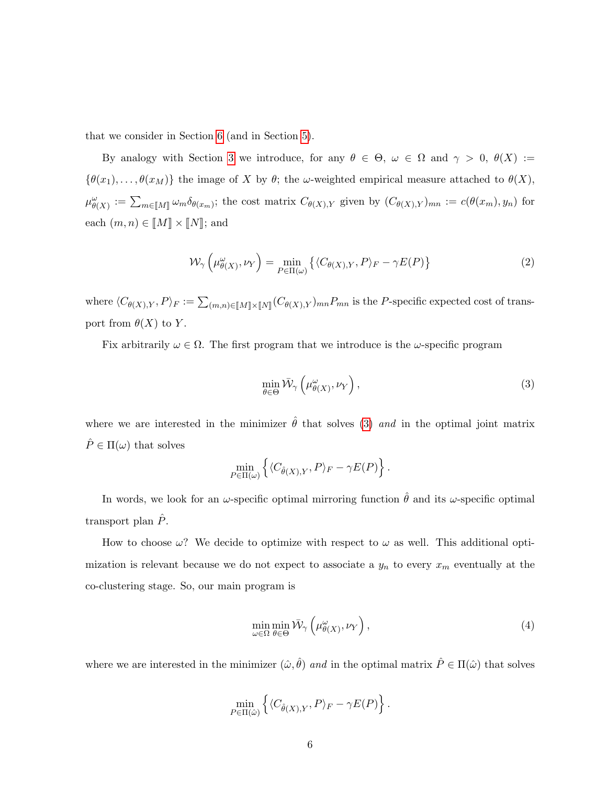that we consider in Section [6](#page-22-0) (and in Section [5\)](#page-9-0).

By analogy with Section [3](#page-3-0) we introduce, for any  $\theta \in \Theta$ ,  $\omega \in \Omega$  and  $\gamma > 0$ ,  $\theta(X) :=$  ${\lbrace \theta(x_1), \ldots, \theta(x_M) \rbrace}$  the image of X by  $\theta$ ; the  $\omega$ -weighted empirical measure attached to  $\theta(X)$ ,  $\mu_{\theta(X)}^{\omega} := \sum_{m \in M} \omega_m \delta_{\theta(x_m)}$ ; the cost matrix  $C_{\theta(X),Y}$  given by  $(C_{\theta(X),Y})_{mn} := c(\theta(x_m), y_n)$  for each  $(m, n) \in [M] \times [N]$ ; and

$$
\mathcal{W}_{\gamma}\left(\mu^{\omega}_{\theta(X)}, \nu_Y\right) = \min_{P \in \Pi(\omega)} \left\{ \langle C_{\theta(X),Y}, P \rangle_F - \gamma E(P) \right\} \tag{2}
$$

where  $\langle C_{\theta(X),Y}, P \rangle_F := \sum_{(m,n)\in[M]\times[M]\times[N]} (C_{\theta(X),Y})_{mn} P_{mn}$  is the P-specific expected cost of transport from  $\theta(X)$  to Y.

Fix arbitrarily  $\omega \in \Omega$ . The first program that we introduce is the  $\omega$ -specific program

<span id="page-5-0"></span>
$$
\min_{\theta \in \Theta} \bar{\mathcal{W}}_{\gamma} \left( \mu^{\omega}_{\theta(X)}, \nu_Y \right), \tag{3}
$$

where we are interested in the minimizer  $\hat{\theta}$  that solves [\(3\)](#page-5-0) and in the optimal joint matrix  $\hat{P} \in \Pi(\omega)$  that solves

$$
\min_{P \in \Pi(\omega)} \left\{ \langle C_{\hat{\theta}(X),Y}, P \rangle_F - \gamma E(P) \right\}.
$$

In words, we look for an  $\omega$ -specific optimal mirroring function  $\hat{\theta}$  and its  $\omega$ -specific optimal transport plan  $P$ .

How to choose  $\omega$ ? We decide to optimize with respect to  $\omega$  as well. This additional optimization is relevant because we do not expect to associate a  $y_n$  to every  $x_m$  eventually at the co-clustering stage. So, our main program is

<span id="page-5-1"></span>
$$
\min_{\omega \in \Omega} \min_{\theta \in \Theta} \bar{\mathcal{W}}_{\gamma} \left( \mu^{\omega}_{\theta(X)}, \nu_Y \right), \tag{4}
$$

where we are interested in the minimizer  $(\hat{\omega}, \hat{\theta})$  and in the optimal matrix  $\hat{P} \in \Pi(\hat{\omega})$  that solves

$$
\min_{P \in \Pi(\hat{\omega})} \left\{ \langle C_{\hat{\theta}(X),Y}, P \rangle_F - \gamma E(P) \right\}.
$$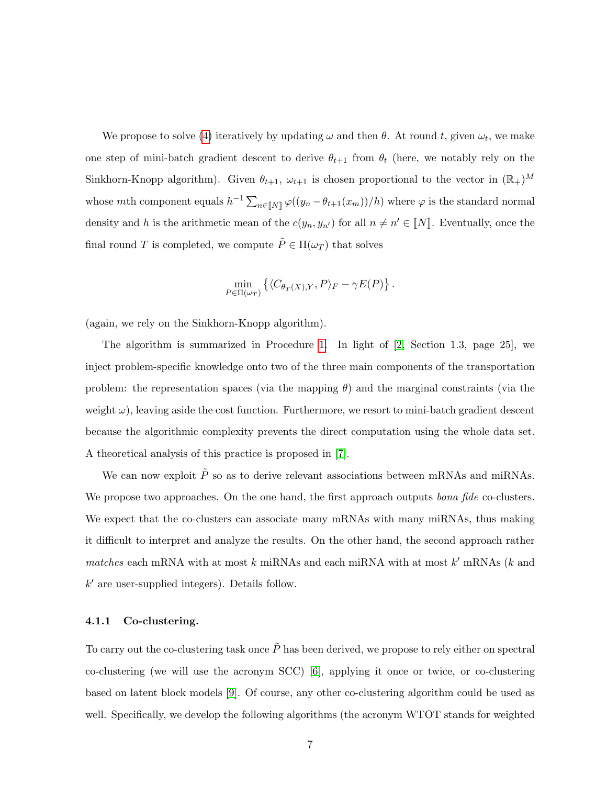We propose to solve [\(4\)](#page-5-1) iteratively by updating  $\omega$  and then  $\theta$ . At round t, given  $\omega_t$ , we make one step of mini-batch gradient descent to derive  $\theta_{t+1}$  from  $\theta_t$  (here, we notably rely on the Sinkhorn-Knopp algorithm). Given  $\theta_{t+1}$ ,  $\omega_{t+1}$  is chosen proportional to the vector in  $(\mathbb{R}_+)^M$ whose mth component equals  $h^{-1} \sum_{n \in [N]} \varphi((y_n - \theta_{t+1}(x_m))/h)$  where  $\varphi$  is the standard normal density and h is the arithmetic mean of the  $c(y_n, y_{n'})$  for all  $n \neq n' \in [N]$ . Eventually, once the final round T is completed, we compute  $\tilde{P} \in \Pi(\omega_T)$  that solves

$$
\min_{P \in \Pi(\omega_T)} \left\{ \langle C_{\theta_T(X),Y}, P \rangle_F - \gamma E(P) \right\}.
$$

(again, we rely on the Sinkhorn-Knopp algorithm).

The algorithm is summarized in Procedure [1.](#page-33-0) In light of [\[2,](#page-28-3) Section 1.3, page 25], we inject problem-specific knowledge onto two of the three main components of the transportation problem: the representation spaces (via the mapping  $\theta$ ) and the marginal constraints (via the weight  $\omega$ ), leaving aside the cost function. Furthermore, we resort to mini-batch gradient descent because the algorithmic complexity prevents the direct computation using the whole data set. A theoretical analysis of this practice is proposed in [\[7\]](#page-28-4).

We can now exploit  $\tilde{P}$  so as to derive relevant associations between mRNAs and miRNAs. We propose two approaches. On the one hand, the first approach outputs *bona fide* co-clusters. We expect that the co-clusters can associate many mRNAs with many miRNAs, thus making it difficult to interpret and analyze the results. On the other hand, the second approach rather matches each mRNA with at most  $k$  miRNAs and each miRNA with at most  $k'$  mRNAs ( $k$  and  $k'$  are user-supplied integers). Details follow.

## <span id="page-6-0"></span>4.1.1 Co-clustering.

To carry out the co-clustering task once  $\tilde{P}$  has been derived, we propose to rely either on spectral co-clustering (we will use the acronym SCC) [\[6\]](#page-28-1), applying it once or twice, or co-clustering based on latent block models [\[9\]](#page-29-3). Of course, any other co-clustering algorithm could be used as well. Specifically, we develop the following algorithms (the acronym WTOT stands for weighted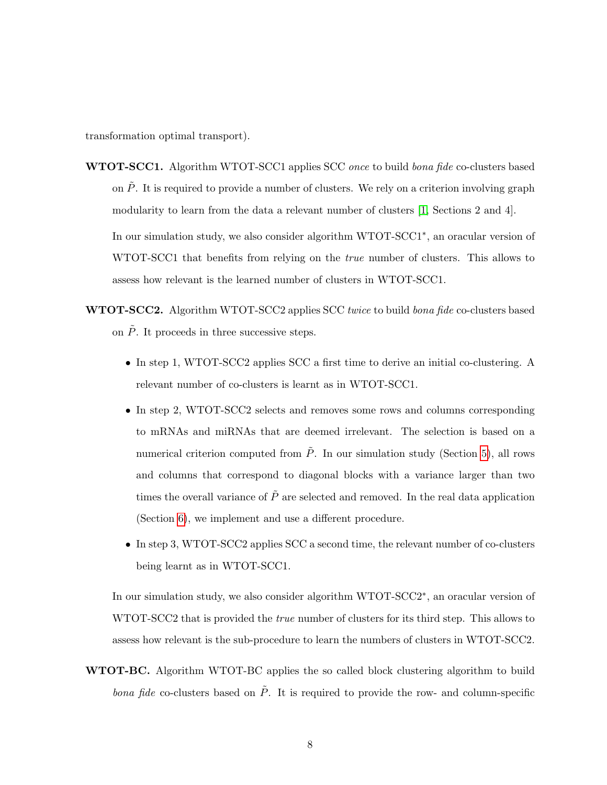transformation optimal transport).

WTOT-SCC1. Algorithm WTOT-SCC1 applies SCC once to build bona fide co-clusters based on  $\tilde{P}$ . It is required to provide a number of clusters. We rely on a criterion involving graph modularity to learn from the data a relevant number of clusters [\[1,](#page-28-5) Sections 2 and 4].

In our simulation study, we also consider algorithm WTOT-SCC1<sup>∗</sup> , an oracular version of WTOT-SCC1 that benefits from relying on the *true* number of clusters. This allows to assess how relevant is the learned number of clusters in WTOT-SCC1.

- WTOT-SCC2. Algorithm WTOT-SCC2 applies SCC twice to build bona fide co-clusters based on  $\tilde{P}$ . It proceeds in three successive steps.
	- In step 1, WTOT-SCC2 applies SCC a first time to derive an initial co-clustering. A relevant number of co-clusters is learnt as in WTOT-SCC1.
	- In step 2, WTOT-SCC2 selects and removes some rows and columns corresponding to mRNAs and miRNAs that are deemed irrelevant. The selection is based on a numerical criterion computed from  $\tilde{P}$ . In our simulation study (Section [5\)](#page-9-0), all rows and columns that correspond to diagonal blocks with a variance larger than two times the overall variance of  $\tilde{P}$  are selected and removed. In the real data application (Section [6\)](#page-22-0), we implement and use a different procedure.
	- In step 3, WTOT-SCC2 applies SCC a second time, the relevant number of co-clusters being learnt as in WTOT-SCC1.

In our simulation study, we also consider algorithm WTOT-SCC2<sup>∗</sup> , an oracular version of WTOT-SCC2 that is provided the true number of clusters for its third step. This allows to assess how relevant is the sub-procedure to learn the numbers of clusters in WTOT-SCC2.

WTOT-BC. Algorithm WTOT-BC applies the so called block clustering algorithm to build *bona fide* co-clusters based on  $\tilde{P}$ . It is required to provide the row- and column-specific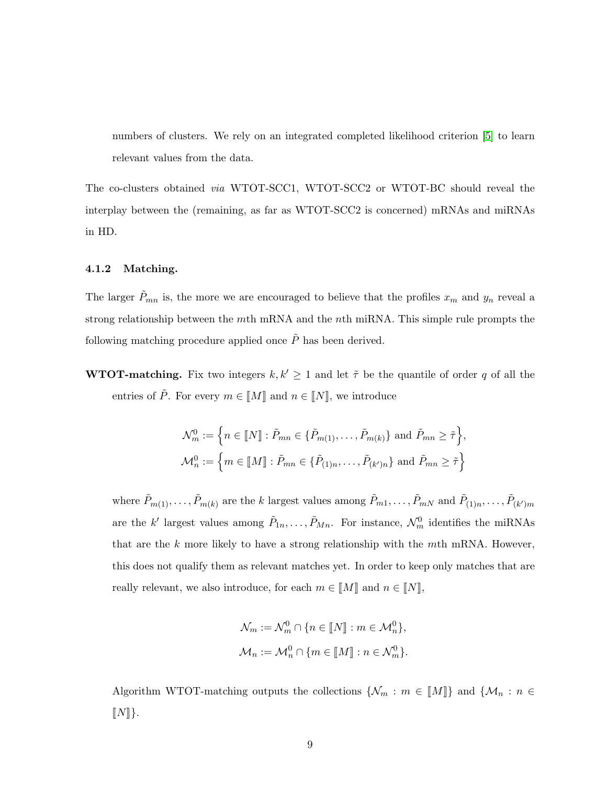numbers of clusters. We rely on an integrated completed likelihood criterion [\[5\]](#page-28-2) to learn relevant values from the data.

The co-clusters obtained via WTOT-SCC1, WTOT-SCC2 or WTOT-BC should reveal the interplay between the (remaining, as far as WTOT-SCC2 is concerned) mRNAs and miRNAs in HD.

#### <span id="page-8-0"></span>4.1.2 Matching.

The larger  $\tilde{P}_{mn}$  is, the more we are encouraged to believe that the profiles  $x_m$  and  $y_n$  reveal a strong relationship between the mth mRNA and the nth miRNA. This simple rule prompts the following matching procedure applied once  $\tilde{P}$  has been derived.

**WTOT-matching.** Fix two integers  $k, k' \geq 1$  and let  $\tilde{\tau}$  be the quantile of order q of all the entries of  $\tilde{P}$ . For every  $m \in \llbracket M \rrbracket$  and  $n \in \llbracket N \rrbracket$ , we introduce

$$
\mathcal{N}_m^0 := \left\{ n \in [\![N]\!]: \tilde{P}_{mn} \in \{\tilde{P}_{m(1)}, \ldots, \tilde{P}_{m(k)}\} \text{ and } \tilde{P}_{mn} \geq \tilde{\tau} \right\},\newline \mathcal{M}_n^0 := \left\{ m \in [\![M]\!]: \tilde{P}_{mn} \in \{\tilde{P}_{(1)n}, \ldots, \tilde{P}_{(k')n}\} \text{ and } \tilde{P}_{mn} \geq \tilde{\tau} \right\}
$$

where  $\tilde{P}_{m(1)},\ldots,\tilde{P}_{m(k)}$  are the k largest values among  $\tilde{P}_{m1},\ldots,\tilde{P}_{mN}$  and  $\tilde{P}_{(1)n},\ldots,\tilde{P}_{(k')m}$ are the k' largest values among  $\tilde{P}_{1n}, \ldots, \tilde{P}_{Mn}$ . For instance,  $\mathcal{N}_m^0$  identifies the miRNAs that are the  $k$  more likely to have a strong relationship with the  $m$ th mRNA. However, this does not qualify them as relevant matches yet. In order to keep only matches that are really relevant, we also introduce, for each  $m \in \llbracket M \rrbracket$  and  $n \in \llbracket N \rrbracket$ ,

$$
\mathcal{N}_m := \mathcal{N}_m^0 \cap \{ n \in [\![N]\!]: m \in \mathcal{M}_n^0 \},
$$
  

$$
\mathcal{M}_n := \mathcal{M}_n^0 \cap \{ m \in [\![M]\!]: n \in \mathcal{N}_m^0 \}.
$$

Algorithm WTOT-matching outputs the collections  $\{\mathcal{N}_m : m \in \llbracket M \rrbracket\}$  and  $\{\mathcal{M}_n : n \in$  $[[N]]$ .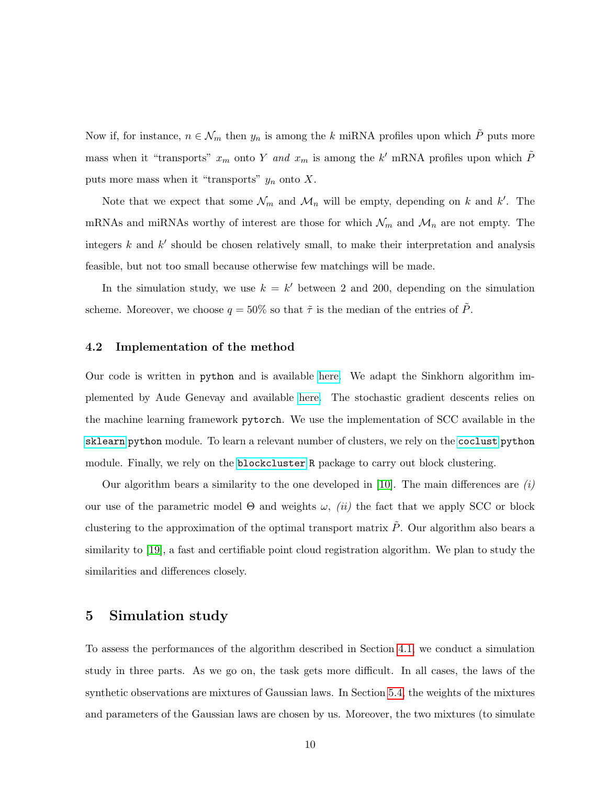Now if, for instance,  $n \in \mathcal{N}_m$  then  $y_n$  is among the k miRNA profiles upon which  $\tilde{P}$  puts more mass when it "transports"  $x_m$  onto Y and  $x_m$  is among the k' mRNA profiles upon which  $\tilde{P}$ puts more mass when it "transports"  $y_n$  onto X.

Note that we expect that some  $\mathcal{N}_m$  and  $\mathcal{M}_n$  will be empty, depending on k and k'. The mRNAs and miRNAs worthy of interest are those for which  $\mathcal{N}_m$  and  $\mathcal{M}_n$  are not empty. The integers  $k$  and  $k'$  should be chosen relatively small, to make their interpretation and analysis feasible, but not too small because otherwise few matchings will be made.

In the simulation study, we use  $k = k'$  between 2 and 200, depending on the simulation scheme. Moreover, we choose  $q = 50\%$  so that  $\tilde{\tau}$  is the median of the entries of  $\tilde{P}$ .

#### 4.2 Implementation of the method

Our code is written in python and is available [here.](https://github.com/yen-nguyen-thi-thanh/wtot_coclust_match) We adapt the Sinkhorn algorithm implemented by Aude Genevay and available [here.](https://github.com/audeg/Sinkhorn-GAN/blob/master/sinkhorn.py) The stochastic gradient descents relies on the machine learning framework pytorch. We use the implementation of SCC available in the [sklearn](https://scikit-learn.org/stable/modules/generated/sklearn.cluster.SpectralCoclustering.html) python module. To learn a relevant number of clusters, we rely on the [coclust](https://coclust.readthedocs.io/en/v0.2.1/api/evaluation.html) python module. Finally, we rely on the [blockcluster](https://cran.r-project.org/web/packages/blockcluster/index.html) R package to carry out block clustering.

Our algorithm bears a similarity to the one developed in [\[10\]](#page-29-5). The main differences are  $(i)$ our use of the parametric model  $\Theta$  and weights  $\omega$ , *(ii)* the fact that we apply SCC or block clustering to the approximation of the optimal transport matrix  $\tilde{P}$ . Our algorithm also bears a similarity to [\[19\]](#page-30-4), a fast and certifiable point cloud registration algorithm. We plan to study the similarities and differences closely.

# <span id="page-9-0"></span>5 Simulation study

To assess the performances of the algorithm described in Section [4.1,](#page-4-2) we conduct a simulation study in three parts. As we go on, the task gets more difficult. In all cases, the laws of the synthetic observations are mixtures of Gaussian laws. In Section [5.4,](#page-14-0) the weights of the mixtures and parameters of the Gaussian laws are chosen by us. Moreover, the two mixtures (to simulate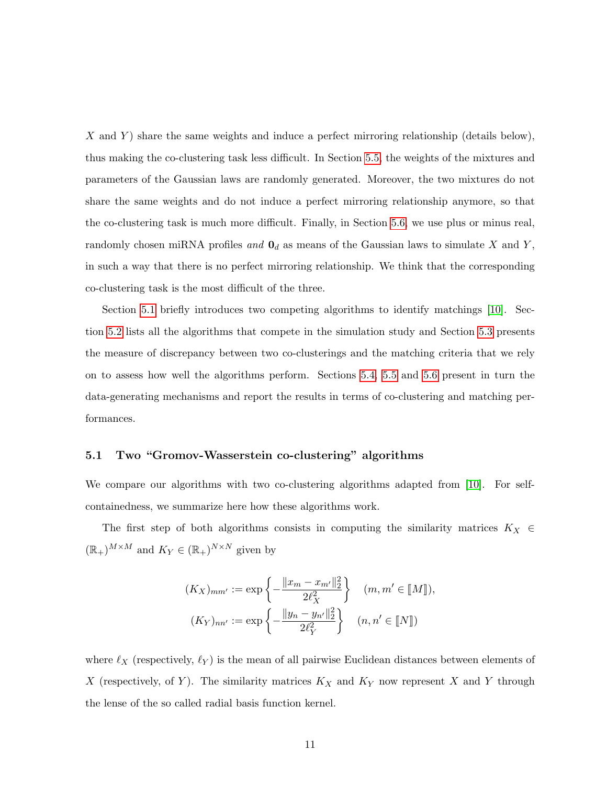X and Y) share the same weights and induce a perfect mirroring relationship (details below), thus making the co-clustering task less difficult. In Section [5.5,](#page-17-0) the weights of the mixtures and parameters of the Gaussian laws are randomly generated. Moreover, the two mixtures do not share the same weights and do not induce a perfect mirroring relationship anymore, so that the co-clustering task is much more difficult. Finally, in Section [5.6,](#page-20-0) we use plus or minus real, randomly chosen miRNA profiles and  $\mathbf{0}_d$  as means of the Gaussian laws to simulate X and Y, in such a way that there is no perfect mirroring relationship. We think that the corresponding co-clustering task is the most difficult of the three.

Section [5.1](#page-10-0) briefly introduces two competing algorithms to identify matchings [\[10\]](#page-29-5). Section [5.2](#page-12-0) lists all the algorithms that compete in the simulation study and Section [5.3](#page-12-1) presents the measure of discrepancy between two co-clusterings and the matching criteria that we rely on to assess how well the algorithms perform. Sections [5.4,](#page-14-0) [5.5](#page-17-0) and [5.6](#page-20-0) present in turn the data-generating mechanisms and report the results in terms of co-clustering and matching performances.

#### <span id="page-10-0"></span>5.1 Two "Gromov-Wasserstein co-clustering" algorithms

We compare our algorithms with two co-clustering algorithms adapted from [\[10\]](#page-29-5). For selfcontainedness, we summarize here how these algorithms work.

The first step of both algorithms consists in computing the similarity matrices  $K_X \in$  $(\mathbb{R}_+)^{M \times M}$  and  $K_Y \in (\mathbb{R}_+)^{N \times N}$  given by

$$
(K_X)_{mm'} := \exp\left\{-\frac{\|x_m - x_{m'}\|_2^2}{2\ell_X^2}\right\} \quad (m, m' \in [\![M]\!]),
$$

$$
(K_Y)_{nn'} := \exp\left\{-\frac{\|y_n - y_{n'}\|_2^2}{2\ell_Y^2}\right\} \quad (n, n' \in [\![N]\!])
$$

where  $\ell_X$  (respectively,  $\ell_Y$ ) is the mean of all pairwise Euclidean distances between elements of X (respectively, of Y). The similarity matrices  $K_X$  and  $K_Y$  now represent X and Y through the lense of the so called radial basis function kernel.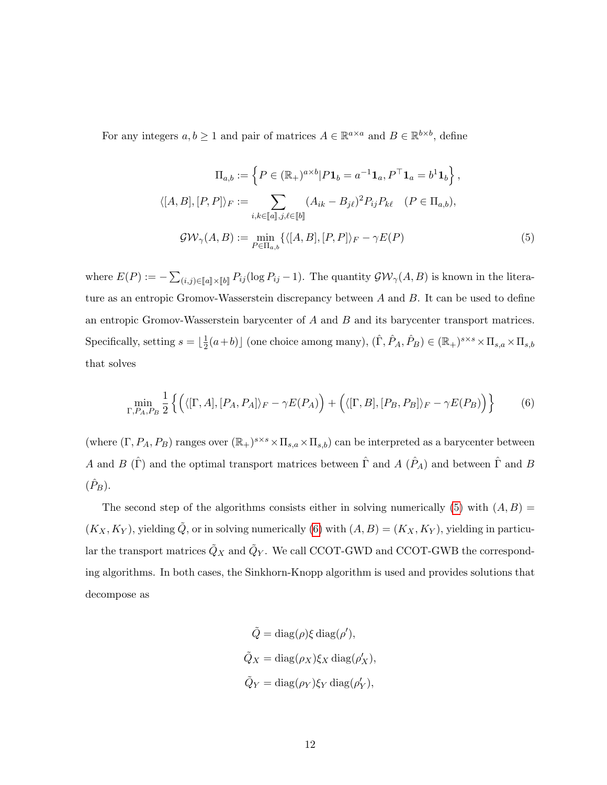For any integers  $a, b \ge 1$  and pair of matrices  $A \in \mathbb{R}^{a \times a}$  and  $B \in \mathbb{R}^{b \times b}$ , define

<span id="page-11-0"></span>
$$
\Pi_{a,b} := \left\{ P \in (\mathbb{R}_+)^{a \times b} | P \mathbf{1}_b = a^{-1} \mathbf{1}_a, P^\top \mathbf{1}_a = b^1 \mathbf{1}_b \right\},
$$
  

$$
\langle [A, B], [P, P] \rangle_F := \sum_{i,k \in [\![a]\!], j,\ell \in [\![b]\!]} (A_{ik} - B_{jl})^2 P_{ij} P_{k\ell} \quad (P \in \Pi_{a,b}),
$$
  

$$
\mathcal{GW}_{\gamma}(A, B) := \min_{P \in \Pi_{a,b}} \{ \langle [A, B], [P, P] \rangle_F - \gamma E(P) \tag{5}
$$

where  $E(P) := -\sum_{(i,j)\in[\![a]\!] \times [\![b]\!]} P_{ij}(\log P_{ij} - 1)$ . The quantity  $\mathcal{GW}_{\gamma}(A, B)$  is known in the literature as an entropic Gromov-Wasserstein discrepancy between A and B. It can be used to define an entropic Gromov-Wasserstein barycenter of  $A$  and  $B$  and its barycenter transport matrices. Specifically, setting  $s = \frac{1}{2}$  $(\frac{1}{2}(a+b))$  (one choice among many),  $(\hat{\Gamma}, \hat{P}_A, \hat{P}_B) \in (\mathbb{R}_+)^{s \times s} \times \Pi_{s,a} \times \Pi_{s,b}$ that solves

<span id="page-11-1"></span>
$$
\min_{\Gamma, P_A, P_B} \frac{1}{2} \left\{ \left( \langle [\Gamma, A], [P_A, P_A] \rangle_F - \gamma E(P_A) \right) + \left( \langle [\Gamma, B], [P_B, P_B] \rangle_F - \gamma E(P_B) \right) \right\} \tag{6}
$$

(where  $(\Gamma, P_A, P_B)$  ranges over  $(\mathbb{R}_+)^{s \times s} \times \Pi_{s,a} \times \Pi_{s,b}$ ) can be interpreted as a barycenter between A and B ( $\hat{\Gamma}$ ) and the optimal transport matrices between  $\hat{\Gamma}$  and A ( $\hat{P}_A$ ) and between  $\hat{\Gamma}$  and B  $(\hat{P}_B)$ .

The second step of the algorithms consists either in solving numerically [\(5\)](#page-11-0) with  $(A, B)$  =  $(K_X, K_Y)$ , yielding  $\tilde{Q}$ , or in solving numerically [\(6\)](#page-11-1) with  $(A, B) = (K_X, K_Y)$ , yielding in particular the transport matrices  $\tilde{Q}_X$  and  $\tilde{Q}_Y$ . We call CCOT-GWD and CCOT-GWB the corresponding algorithms. In both cases, the Sinkhorn-Knopp algorithm is used and provides solutions that decompose as

$$
\tilde{Q} = \text{diag}(\rho)\xi \,\text{diag}(\rho'),
$$
  

$$
\tilde{Q}_X = \text{diag}(\rho_X)\xi_X \,\text{diag}(\rho'_X),
$$
  

$$
\tilde{Q}_Y = \text{diag}(\rho_Y)\xi_Y \,\text{diag}(\rho'_Y),
$$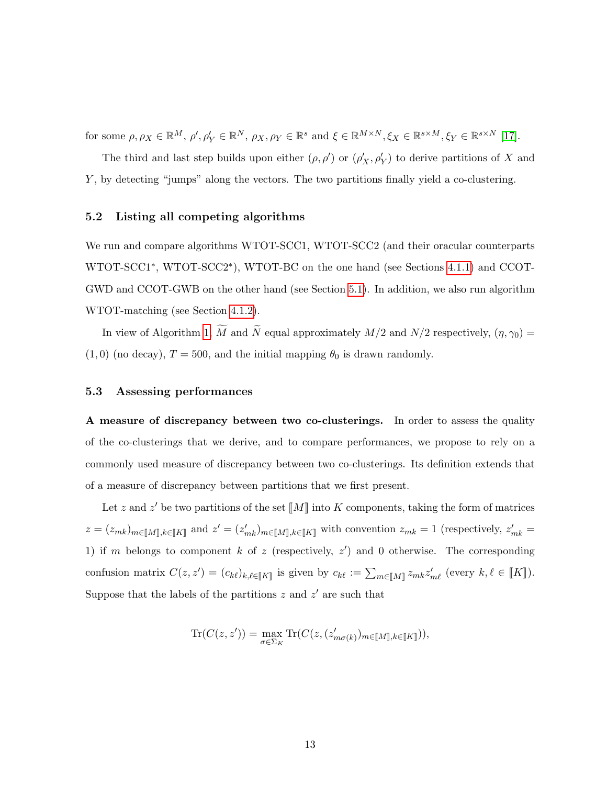for some  $\rho, \rho_X \in \mathbb{R}^M$ ,  $\rho', \rho'_Y \in \mathbb{R}^N$ ,  $\rho_X, \rho_Y \in \mathbb{R}^s$  and  $\xi \in \mathbb{R}^{M \times N}$ ,  $\xi_X \in \mathbb{R}^{s \times M}$ ,  $\xi_Y \in \mathbb{R}^{s \times N}$  [\[17\]](#page-30-5).

The third and last step builds upon either  $(\rho, \rho')$  or  $(\rho'_X, \rho'_Y)$  to derive partitions of X and Y , by detecting "jumps" along the vectors. The two partitions finally yield a co-clustering.

### <span id="page-12-0"></span>5.2 Listing all competing algorithms

We run and compare algorithms WTOT-SCC1, WTOT-SCC2 (and their oracular counterparts WTOT-SCC1<sup>\*</sup>, WTOT-SCC2<sup>\*</sup>), WTOT-BC on the one hand (see Sections [4.1.1\)](#page-6-0) and CCOT-GWD and CCOT-GWB on the other hand (see Section [5.1\)](#page-10-0). In addition, we also run algorithm WTOT-matching (see Section [4.1.2\)](#page-8-0).

In view of Algorithm [1,](#page-33-0)  $\widetilde{M}$  and  $\widetilde{N}$  equal approximately  $M/2$  and  $N/2$  respectively,  $(\eta, \gamma_0)$  =  $(1, 0)$  (no decay),  $T = 500$ , and the initial mapping  $\theta_0$  is drawn randomly.

## <span id="page-12-1"></span>5.3 Assessing performances

A measure of discrepancy between two co-clusterings. In order to assess the quality of the co-clusterings that we derive, and to compare performances, we propose to rely on a commonly used measure of discrepancy between two co-clusterings. Its definition extends that of a measure of discrepancy between partitions that we first present.

Let z and  $z'$  be two partitions of the set  $\llbracket M \rrbracket$  into K components, taking the form of matrices  $z = (z_{mk})_{m \in [M], k \in [K]}$  and  $z' = (z'_{mk})_{m \in [M], k \in [K]}$  with convention  $z_{mk} = 1$  (respectively,  $z'_{mk} =$ 1) if m belongs to component k of z (respectively,  $z'$ ) and 0 otherwise. The corresponding confusion matrix  $C(z, z') = (c_{k\ell})_{k,\ell \in [K]}$  is given by  $c_{k\ell} := \sum_{m \in [M]} z_{mk} z'_{m\ell}$  (every  $k, \ell \in [K]$ ). Suppose that the labels of the partitions  $z$  and  $z'$  are such that

$$
\text{Tr}(C(z,z'))=\max_{\sigma\in \Sigma_K}\text{Tr}(C(z,(z'_{m\sigma(k)})_{m\in[\![M]\!],k\in[\![K]\!]})),
$$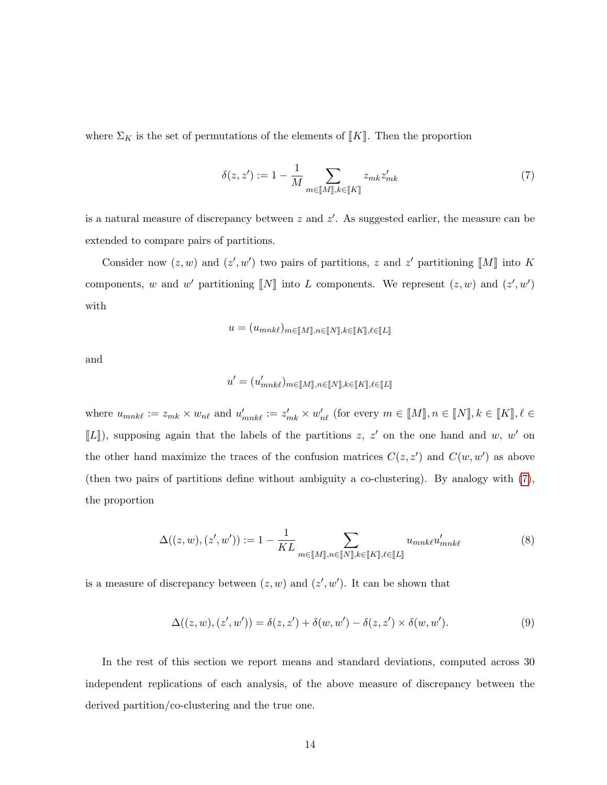where  $\Sigma_K$  is the set of permutations of the elements of [K]. Then the proportion

<span id="page-13-0"></span>
$$
\delta(z, z') := 1 - \frac{1}{M} \sum_{m \in [\![M]\!], k \in [\![K]\!]} z_{mk} z'_{mk} \tag{7}
$$

is a natural measure of discrepancy between  $z$  and  $z'$ . As suggested earlier, the measure can be extended to compare pairs of partitions.

Consider now  $(z, w)$  and  $(z', w')$  two pairs of partitions, z and z' partitioning  $\llbracket M \rrbracket$  into K components, w and w' partitioning  $\llbracket N \rrbracket$  into L components. We represent  $(z, w)$  and  $(z', w')$ with

$$
u = (u_{mnk\ell})_{m \in \llbracket M \rrbracket, n \in \llbracket N \rrbracket, k \in \llbracket K \rrbracket, \ell \in \llbracket L \rrbracket}
$$

and

$$
u' = (u'_{mnk\ell})_{m \in [\![M]\!], n \in [\![N]\!], k \in [\![K]\!], \ell \in [\![L]\!]}
$$

where  $u_{mnk\ell} := z_{mk} \times w_{n\ell}$  and  $u'_{mnk\ell} := z'_{mk} \times w'_{n\ell}$  (for every  $m \in [M], n \in [N], k \in [K], \ell \in [K]$  $[[L]]$ , supposing again that the labels of the partitions z, z' on the one hand and w, w' on the other hand maximize the traces of the confusion matrices  $C(z, z')$  and  $C(w, w')$  as above (then two pairs of partitions define without ambiguity a co-clustering). By analogy with [\(7\)](#page-13-0), the proportion

$$
\Delta((z,w),(z',w')) := 1 - \frac{1}{KL} \sum_{m \in [\![M]\!], n \in [\![N]\!], k \in [\![K]\!], \ell \in [\![L]\!]} u_{mnk\ell} u'_{mnk\ell} \tag{8}
$$

is a measure of discrepancy between  $(z, w)$  and  $(z', w')$ . It can be shown that

$$
\Delta((z,w),(z',w')) = \delta(z,z') + \delta(w,w') - \delta(z,z') \times \delta(w,w'). \tag{9}
$$

In the rest of this section we report means and standard deviations, computed across 30 independent replications of each analysis, of the above measure of discrepancy between the derived partition/co-clustering and the true one.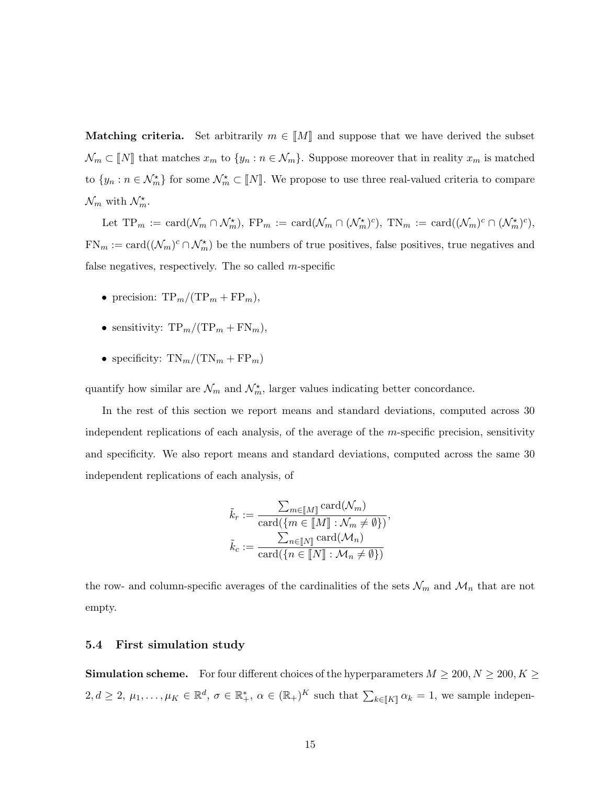**Matching criteria.** Set arbitrarily  $m \in \llbracket M \rrbracket$  and suppose that we have derived the subset  $\mathcal{N}_m \subset \llbracket N \rrbracket$  that matches  $x_m$  to  $\{y_n : n \in \mathcal{N}_m\}$ . Suppose moreover that in reality  $x_m$  is matched to  $\{y_n : n \in \mathcal{N}_m^*\}$  for some  $\mathcal{N}_m^* \subset \llbracket N \rrbracket$ . We propose to use three real-valued criteria to compare  $\mathcal{N}_m$  with  $\mathcal{N}_m^*$ .

Let  $TP_m := \text{card}(\mathcal{N}_m \cap \mathcal{N}_m^{\star}), FP_m := \text{card}(\mathcal{N}_m \cap (\mathcal{N}_m^{\star})^c), TN_m := \text{card}((\mathcal{N}_m)^c \cap (\mathcal{N}_m^{\star})^c),$  $FN_m := \text{card}((\mathcal{N}_m)^c \cap \mathcal{N}_m^*)$  be the numbers of true positives, false positives, true negatives and false negatives, respectively. The so called  $m$ -specific

- precision:  $TP_m/(TP_m + FP_m)$ ,
- sensitivity:  $TP_m/(TP_m + FN_m)$ ,
- specificity:  $TN_m/(TN_m + FP_m)$

quantify how similar are  $\mathcal{N}_m$  and  $\mathcal{N}_m^*$ , larger values indicating better concordance.

In the rest of this section we report means and standard deviations, computed across 30 independent replications of each analysis, of the average of the m-specific precision, sensitivity and specificity. We also report means and standard deviations, computed across the same 30 independent replications of each analysis, of

$$
\tilde{k}_r := \frac{\sum_{m \in [\![M]\!]} \text{card}(\mathcal{N}_m)}{\text{card}(\{m \in [\![M]\!]: \mathcal{N}_m \neq \emptyset\})},
$$

$$
\tilde{k}_c := \frac{\sum_{n \in [\![N]\!]} \text{card}(\mathcal{M}_n)}{\text{card}(\{n \in [\![N]\!]: \mathcal{M}_n \neq \emptyset\})}
$$

the row- and column-specific averages of the cardinalities of the sets  $\mathcal{N}_m$  and  $\mathcal{M}_n$  that are not empty.

## <span id="page-14-0"></span>5.4 First simulation study

**Simulation scheme.** For four different choices of the hyperparameters  $M \ge 200, N \ge 200, K \ge 200$  $2, d \geq 2, \mu_1, \ldots, \mu_K \in \mathbb{R}^d, \sigma \in \mathbb{R}_+^*, \alpha \in (\mathbb{R}_+)^K$  such that  $\sum_{k \in [K]} \alpha_k = 1$ , we sample indepen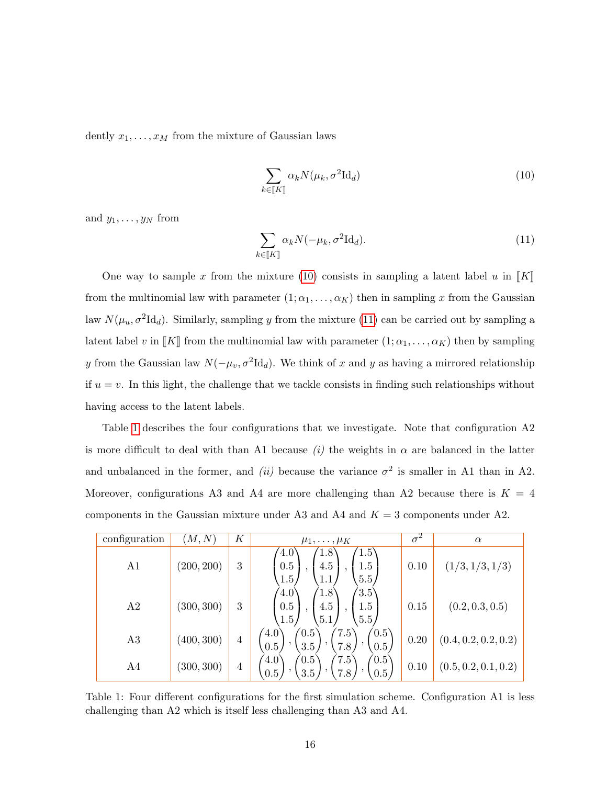dently  $x_1, \ldots, x_M$  from the mixture of Gaussian laws

<span id="page-15-0"></span>
$$
\sum_{k \in \llbracket K \rrbracket} \alpha_k N(\mu_k, \sigma^2 \mathrm{Id}_d) \tag{10}
$$

and  $y_1, \ldots, y_N$  from

<span id="page-15-1"></span>
$$
\sum_{k \in [K]} \alpha_k N(-\mu_k, \sigma^2 \mathrm{Id}_d). \tag{11}
$$

One way to sample x from the mixture [\(10\)](#page-15-0) consists in sampling a latent label u in  $\llbracket K \rrbracket$ from the multinomial law with parameter  $(1; \alpha_1, \ldots, \alpha_K)$  then in sampling x from the Gaussian law  $N(\mu_u, \sigma^2 \mathrm{Id}_d)$ . Similarly, sampling y from the mixture [\(11\)](#page-15-1) can be carried out by sampling a latent label v in  $\llbracket K \rrbracket$  from the multinomial law with parameter  $(1; \alpha_1, \ldots, \alpha_K)$  then by sampling y from the Gaussian law  $N(-\mu_v, \sigma^2 \mathrm{Id}_d)$ . We think of x and y as having a mirrored relationship if  $u = v$ . In this light, the challenge that we tackle consists in finding such relationships without having access to the latent labels.

Table [1](#page-15-2) describes the four configurations that we investigate. Note that configuration A2 is more difficult to deal with than A1 because (i) the weights in  $\alpha$  are balanced in the latter and unbalanced in the former, and *(ii)* because the variance  $\sigma^2$  is smaller in A1 than in A2. Moreover, configurations A3 and A4 are more challenging than A2 because there is  $K = 4$ components in the Gaussian mixture under A3 and A4 and  $K = 3$  components under A2.

<span id="page-15-2"></span>

| configuration  | (M,N)      | К              | $\mu_1,\ldots,\mu_K$                                                                                                | $\sigma^2$ | $\alpha$             |
|----------------|------------|----------------|---------------------------------------------------------------------------------------------------------------------|------------|----------------------|
| A <sub>1</sub> | (200, 200) | 3              | $1.5^{\circ}$<br>$^{\prime}4.0^{\cdot}$<br>1.8<br>0.5<br>4.5<br>1.5<br>1.5 <sub>l</sub><br>5.5/<br>1.1 <sub>l</sub> | 0.10       | (1/3, 1/3, 1/3)      |
| A <sub>2</sub> | (300, 300) | 3              | 3.5<br>(4.0)<br>1.8<br>0.5<br>4.5<br>1.5<br>5.5 <sub>1</sub><br>1.5/<br>5.1 <sub>l</sub>                            | 0.15       | (0.2, 0.3, 0.5)      |
| A3             | (400, 300) | $\overline{4}$ | (4.0)<br>7.5<br>(0.5)<br>(0.5)<br>0.5<br>3.5<br>7.8<br>0.5                                                          | 0.20       | (0.4, 0.2, 0.2, 0.2) |
| A4             | (300, 300) | 4              | 7.5<br>(0.5)<br>$4.0^\circ$<br>$\left(0.5\right)$<br>0.5<br>3.5 <sub>l</sub><br>7.8<br>0.5                          | 0.10       | (0.5, 0.2, 0.1, 0.2) |

Table 1: Four different configurations for the first simulation scheme. Configuration A1 is less challenging than A2 which is itself less challenging than A3 and A4.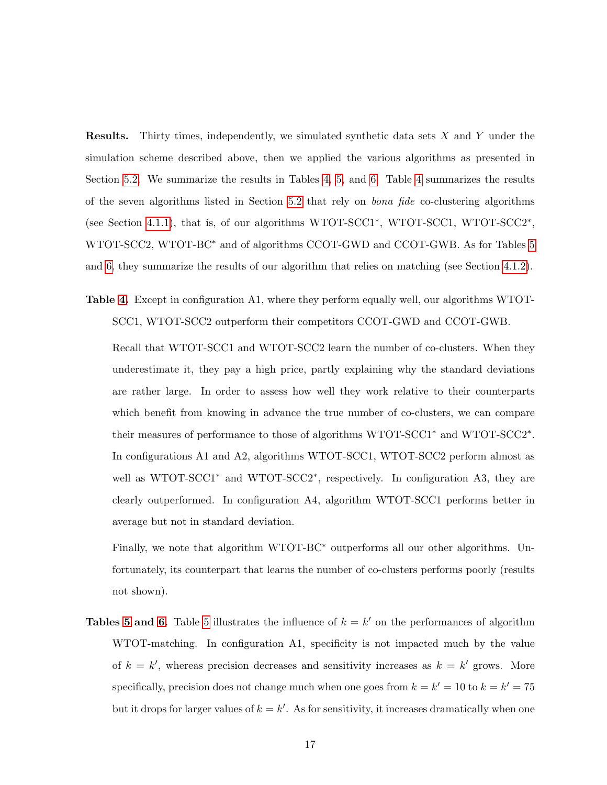Results. Thirty times, independently, we simulated synthetic data sets X and Y under the simulation scheme described above, then we applied the various algorithms as presented in Section [5.2.](#page-12-0) We summarize the results in Tables [4,](#page-34-0) [5,](#page-34-1) and [6.](#page-34-2) Table [4](#page-34-0) summarizes the results of the seven algorithms listed in Section [5.2](#page-12-0) that rely on bona fide co-clustering algorithms (see Section [4.1.1\)](#page-6-0), that is, of our algorithms WTOT-SCC1<sup>\*</sup>, WTOT-SCC1, WTOT-SCC2<sup>\*</sup>, WTOT-SCC2, WTOT-BC<sup>\*</sup> and of algorithms CCOT-GWD and CCOT-GWB. As for Tables [5](#page-34-1) and [6,](#page-34-2) they summarize the results of our algorithm that relies on matching (see Section [4.1.2\)](#page-8-0).

Table [4.](#page-34-0) Except in configuration A1, where they perform equally well, our algorithms WTOT-SCC1, WTOT-SCC2 outperform their competitors CCOT-GWD and CCOT-GWB.

Recall that WTOT-SCC1 and WTOT-SCC2 learn the number of co-clusters. When they underestimate it, they pay a high price, partly explaining why the standard deviations are rather large. In order to assess how well they work relative to their counterparts which benefit from knowing in advance the true number of co-clusters, we can compare their measures of performance to those of algorithms WTOT-SCC1<sup>∗</sup> and WTOT-SCC2<sup>∗</sup> . In configurations A1 and A2, algorithms WTOT-SCC1, WTOT-SCC2 perform almost as well as WTOT-SCC1<sup>\*</sup> and WTOT-SCC2<sup>\*</sup>, respectively. In configuration A3, they are clearly outperformed. In configuration A4, algorithm WTOT-SCC1 performs better in average but not in standard deviation.

Finally, we note that algorithm WTOT-BC<sup>∗</sup> outperforms all our other algorithms. Unfortunately, its counterpart that learns the number of co-clusters performs poorly (results not shown).

**Tables [5](#page-34-1) and [6.](#page-34-2)** Table 5 illustrates the influence of  $k = k'$  on the performances of algorithm WTOT-matching. In configuration A1, specificity is not impacted much by the value of  $k = k'$ , whereas precision decreases and sensitivity increases as  $k = k'$  grows. More specifically, precision does not change much when one goes from  $k = k' = 10$  to  $k = k' = 75$ but it drops for larger values of  $k = k'$ . As for sensitivity, it increases dramatically when one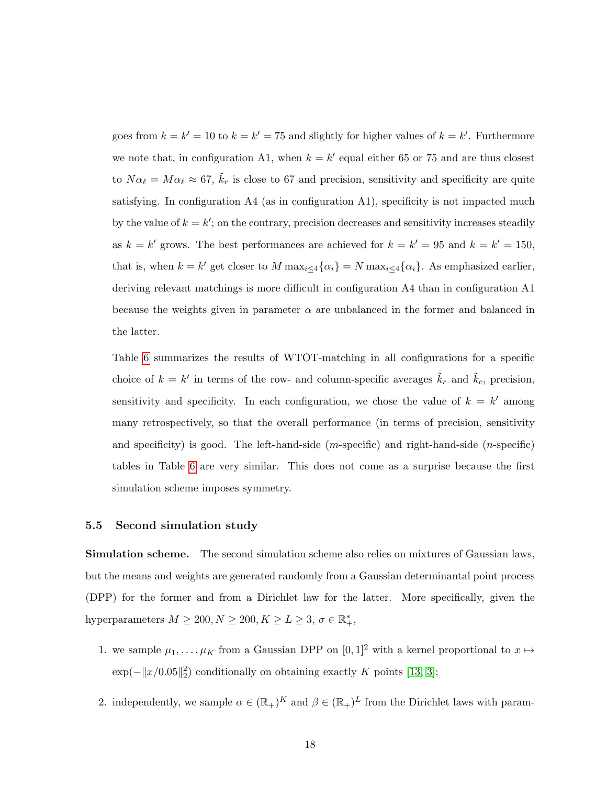goes from  $k = k' = 10$  to  $k = k' = 75$  and slightly for higher values of  $k = k'$ . Furthermore we note that, in configuration A1, when  $k = k'$  equal either 65 or 75 and are thus closest to  $N\alpha_\ell = M\alpha_\ell \approx 67$ ,  $\tilde{k}_r$  is close to 67 and precision, sensitivity and specificity are quite satisfying. In configuration A4 (as in configuration A1), specificity is not impacted much by the value of  $k = k'$ ; on the contrary, precision decreases and sensitivity increases steadily as  $k = k'$  grows. The best performances are achieved for  $k = k' = 95$  and  $k = k' = 150$ , that is, when  $k = k'$  get closer to M  $\max_{i \leq 4} {\{\alpha_i\}} = N \max_{i \leq 4} {\{\alpha_i\}}$ . As emphasized earlier, deriving relevant matchings is more difficult in configuration A4 than in configuration A1 because the weights given in parameter  $\alpha$  are unbalanced in the former and balanced in the latter.

Table [6](#page-34-2) summarizes the results of WTOT-matching in all configurations for a specific choice of  $k = k'$  in terms of the row- and column-specific averages  $\tilde{k}_r$  and  $\tilde{k}_c$ , precision, sensitivity and specificity. In each configuration, we chose the value of  $k = k'$  among many retrospectively, so that the overall performance (in terms of precision, sensitivity and specificity) is good. The left-hand-side  $(m$ -specific) and right-hand-side  $(n$ -specific) tables in Table [6](#page-34-2) are very similar. This does not come as a surprise because the first simulation scheme imposes symmetry.

#### <span id="page-17-0"></span>5.5 Second simulation study

Simulation scheme. The second simulation scheme also relies on mixtures of Gaussian laws, but the means and weights are generated randomly from a Gaussian determinantal point process (DPP) for the former and from a Dirichlet law for the latter. More specifically, given the hyperparameters  $M \ge 200, N \ge 200, K \ge L \ge 3, \sigma \in \mathbb{R}_+^*$ ,

- 1. we sample  $\mu_1, \ldots, \mu_K$  from a Gaussian DPP on  $[0, 1]^2$  with a kernel proportional to  $x \mapsto$  $\exp(-||x/0.05||_2^2)$  conditionally on obtaining exactly K points [\[13,](#page-29-6) [3\]](#page-28-6);
- 2. independently, we sample  $\alpha \in (\mathbb{R}_+)^K$  and  $\beta \in (\mathbb{R}_+)^L$  from the Dirichlet laws with param-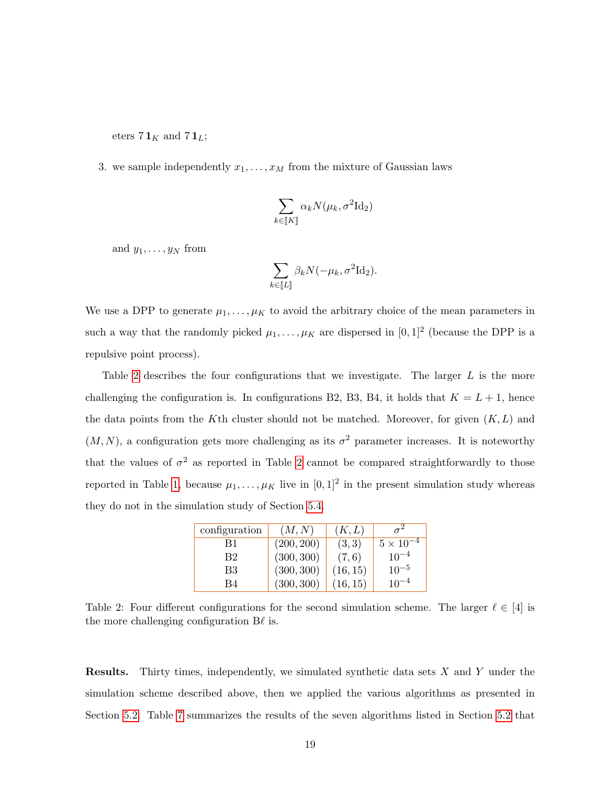eters  $7\mathbf{1}_K$  and  $7\mathbf{1}_L$ ;

3. we sample independently  $x_1, \ldots, x_M$  from the mixture of Gaussian laws

$$
\sum_{k \in \llbracket K \rrbracket} \alpha_k N(\mu_k, \sigma^2 \mathrm{Id}_2)
$$

and  $y_1, \ldots, y_N$  from

$$
\sum_{k \in \llbracket L \rrbracket} \beta_k N(-\mu_k, \sigma^2 \mathrm{Id}_2).
$$

We use a DPP to generate  $\mu_1, \ldots, \mu_K$  to avoid the arbitrary choice of the mean parameters in such a way that the randomly picked  $\mu_1, \ldots, \mu_K$  are dispersed in  $[0,1]^2$  (because the DPP is a repulsive point process).

Table [2](#page-18-0) describes the four configurations that we investigate. The larger L is the more challenging the configuration is. In configurations B2, B3, B4, it holds that  $K = L + 1$ , hence the data points from the K<sup>th</sup> cluster should not be matched. Moreover, for given  $(K, L)$  and  $(M, N)$ , a configuration gets more challenging as its  $\sigma^2$  parameter increases. It is noteworthy that the values of  $\sigma^2$  as reported in Table [2](#page-18-0) cannot be compared straightforwardly to those reported in Table [1,](#page-15-2) because  $\mu_1, \ldots, \mu_K$  live in  $[0,1]^2$  in the present simulation study whereas they do not in the simulation study of Section [5.4.](#page-14-0)

| configuration | (M, N)     | (K, L)   |                    |
|---------------|------------|----------|--------------------|
| B1            | (200, 200) | (3,3)    | $5 \times 10^{-4}$ |
| B2            | (300, 300) | (7,6)    | $10^{-4}$          |
| B3            | (300, 300) | (16, 15) | $10^{-5}$          |
| B4            | (300, 300) | (16, 15) | $10^{-4}$          |

<span id="page-18-0"></span>Table 2: Four different configurations for the second simulation scheme. The larger  $\ell \in [4]$  is the more challenging configuration  $B\ell$  is.

**Results.** Thirty times, independently, we simulated synthetic data sets  $X$  and  $Y$  under the simulation scheme described above, then we applied the various algorithms as presented in Section [5.2.](#page-12-0) Table [7](#page-35-0) summarizes the results of the seven algorithms listed in Section [5.2](#page-12-0) that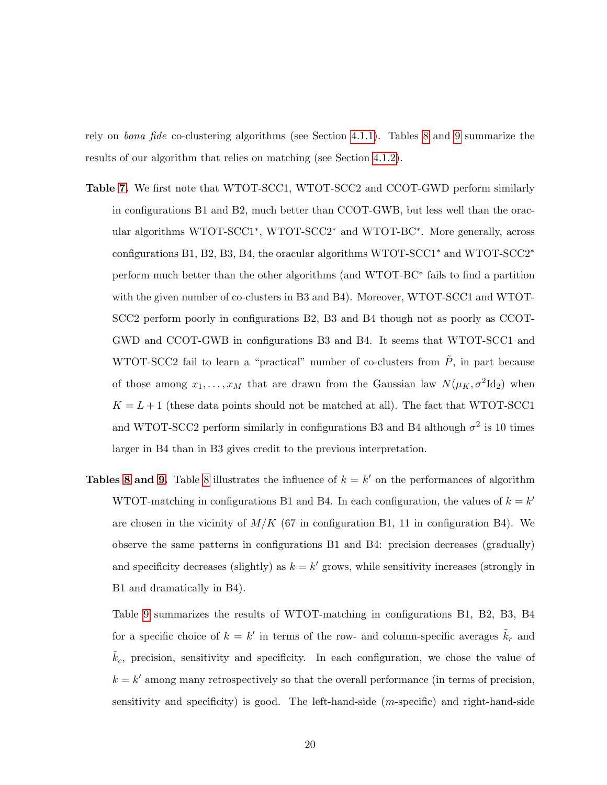rely on bona fide co-clustering algorithms (see Section [4.1.1\)](#page-6-0). Tables [8](#page-35-1) and [9](#page-35-2) summarize the results of our algorithm that relies on matching (see Section [4.1.2\)](#page-8-0).

- Table [7.](#page-35-0) We first note that WTOT-SCC1, WTOT-SCC2 and CCOT-GWD perform similarly in configurations B1 and B2, much better than CCOT-GWB, but less well than the oracular algorithms WTOT-SCC1<sup>∗</sup> , WTOT-SCC2<sup>∗</sup> and WTOT-BC<sup>∗</sup> . More generally, across configurations B1, B2, B3, B4, the oracular algorithms WTOT-SCC1<sup>∗</sup> and WTOT-SCC2<sup>∗</sup> perform much better than the other algorithms (and WTOT-BC<sup>∗</sup> fails to find a partition with the given number of co-clusters in B3 and B4). Moreover, WTOT-SCC1 and WTOT-SCC2 perform poorly in configurations B2, B3 and B4 though not as poorly as CCOT-GWD and CCOT-GWB in configurations B3 and B4. It seems that WTOT-SCC1 and WTOT-SCC2 fail to learn a "practical" number of co-clusters from  $\ddot{P}$ , in part because of those among  $x_1, \ldots, x_M$  that are drawn from the Gaussian law  $N(\mu_K, \sigma^2 \mathrm{Id}_2)$  when  $K = L + 1$  (these data points should not be matched at all). The fact that WTOT-SCC1 and WTOT-SCC2 perform similarly in configurations B3 and B4 although  $\sigma^2$  is 10 times larger in B4 than in B3 gives credit to the previous interpretation.
- **Tables [8](#page-35-1) and [9.](#page-35-2)** Table 8 illustrates the influence of  $k = k'$  on the performances of algorithm WTOT-matching in configurations B1 and B4. In each configuration, the values of  $k = k'$ are chosen in the vicinity of  $M/K$  (67 in configuration B1, 11 in configuration B4). We observe the same patterns in configurations B1 and B4: precision decreases (gradually) and specificity decreases (slightly) as  $k = k'$  grows, while sensitivity increases (strongly in B1 and dramatically in B4).

Table [9](#page-35-2) summarizes the results of WTOT-matching in configurations B1, B2, B3, B4 for a specific choice of  $k = k'$  in terms of the row- and column-specific averages  $\tilde{k}_r$  and  $k_c$ , precision, sensitivity and specificity. In each configuration, we chose the value of  $k = k'$  among many retrospectively so that the overall performance (in terms of precision, sensitivity and specificity) is good. The left-hand-side (m-specific) and right-hand-side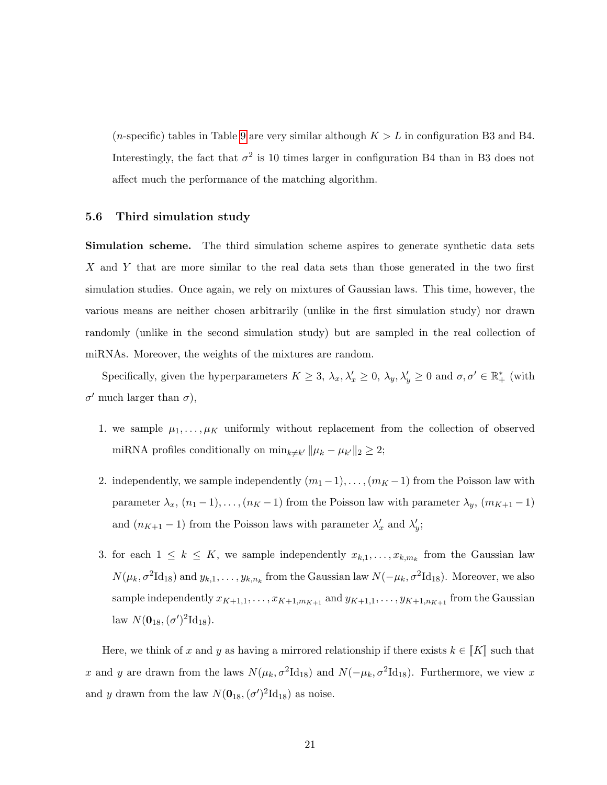(*n*-specific) tables in Table [9](#page-35-2) are very similar although  $K > L$  in configuration B3 and B4. Interestingly, the fact that  $\sigma^2$  is 10 times larger in configuration B4 than in B3 does not affect much the performance of the matching algorithm.

#### <span id="page-20-0"></span>5.6 Third simulation study

Simulation scheme. The third simulation scheme aspires to generate synthetic data sets X and Y that are more similar to the real data sets than those generated in the two first simulation studies. Once again, we rely on mixtures of Gaussian laws. This time, however, the various means are neither chosen arbitrarily (unlike in the first simulation study) nor drawn randomly (unlike in the second simulation study) but are sampled in the real collection of miRNAs. Moreover, the weights of the mixtures are random.

Specifically, given the hyperparameters  $K \geq 3$ ,  $\lambda_x, \lambda'_x \geq 0$ ,  $\lambda_y, \lambda'_y \geq 0$  and  $\sigma, \sigma' \in \mathbb{R}^*_+$  (with  $\sigma'$  much larger than  $\sigma$ ),

- 1. we sample  $\mu_1, \ldots, \mu_K$  uniformly without replacement from the collection of observed miRNA profiles conditionally on  $\min_{k \neq k'} ||\mu_k - \mu_{k'}||_2 \geq 2;$
- 2. independently, we sample independently  $(m_1-1), \ldots, (m_K-1)$  from the Poisson law with parameter  $\lambda_x$ ,  $(n_1 - 1)$ , ...,  $(n_K - 1)$  from the Poisson law with parameter  $\lambda_y$ ,  $(m_{K+1} - 1)$ and  $(n_{K+1}-1)$  from the Poisson laws with parameter  $\lambda'_x$  and  $\lambda'_y$ ;
- 3. for each  $1 \leq k \leq K$ , we sample independently  $x_{k,1}, \ldots, x_{k,m_k}$  from the Gaussian law  $N(\mu_k, \sigma^2 \mathrm{Id}_{18})$  and  $y_{k,1}, \ldots, y_{k,n_k}$  from the Gaussian law  $N(-\mu_k, \sigma^2 \mathrm{Id}_{18})$ . Moreover, we also sample independently  $x_{K+1,1}, \ldots, x_{K+1,m_{K+1}}$  and  $y_{K+1,1}, \ldots, y_{K+1,n_{K+1}}$  from the Gaussian law  $N(\mathbf{0}_{18}, (\sigma')^2 \mathrm{Id}_{18}).$

Here, we think of x and y as having a mirrored relationship if there exists  $k \in \llbracket K \rrbracket$  such that x and y are drawn from the laws  $N(\mu_k, \sigma^2 \text{Id}_{18})$  and  $N(-\mu_k, \sigma^2 \text{Id}_{18})$ . Furthermore, we view x and y drawn from the law  $N(\mathbf{0}_{18},(\sigma')^2\mathrm{Id}_{18})$  as noise.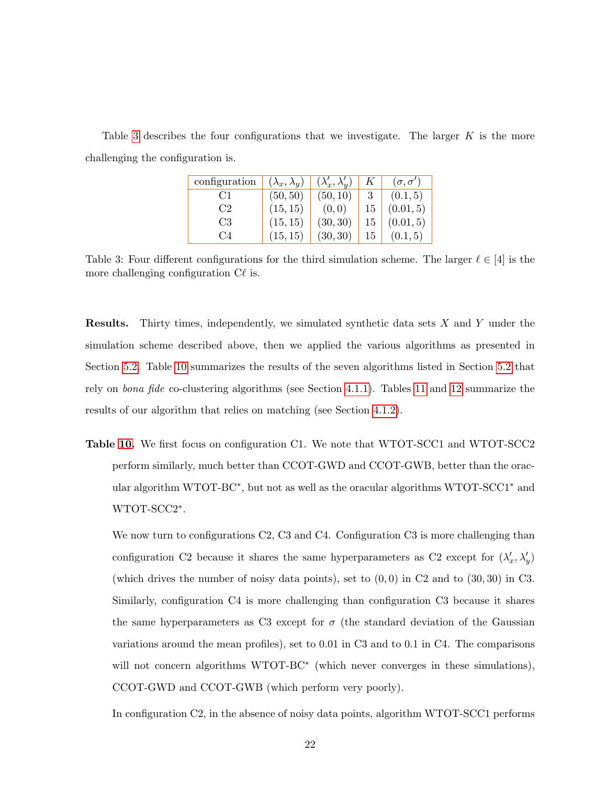<span id="page-21-0"></span>Table [3](#page-21-0) describes the four configurations that we investigate. The larger  $K$  is the more challenging the configuration is.

| configuration | $(\lambda_x, \lambda_y)$ | $(\lambda'_x, \lambda'_y)$ | K  | $(\sigma, \sigma')$ |
|---------------|--------------------------|----------------------------|----|---------------------|
| CT            | (50, 50)                 | (50, 10)                   |    | (0.1, 5)            |
| C2            | (15, 15)                 | (0, 0)                     | 15 | (0.01, 5)           |
| C3            | (15, 15)                 | (30, 30)                   | 15 | (0.01, 5)           |
| ( '.4         | (15, 15)                 | (30, 30)                   | 15 | (0.1, 5)            |

Table 3: Four different configurations for the third simulation scheme. The larger  $\ell \in [4]$  is the more challenging configuration  $C\ell$  is.

Results. Thirty times, independently, we simulated synthetic data sets X and Y under the simulation scheme described above, then we applied the various algorithms as presented in Section [5.2.](#page-12-0) Table [10](#page-36-0) summarizes the results of the seven algorithms listed in Section [5.2](#page-12-0) that rely on bona fide co-clustering algorithms (see Section [4.1.1\)](#page-6-0). Tables [11](#page-36-1) and [12](#page-36-2) summarize the results of our algorithm that relies on matching (see Section [4.1.2\)](#page-8-0).

Table [10.](#page-36-0) We first focus on configuration C1. We note that WTOT-SCC1 and WTOT-SCC2 perform similarly, much better than CCOT-GWD and CCOT-GWB, better than the oracular algorithm WTOT-BC<sup>\*</sup>, but not as well as the oracular algorithms WTOT-SCC1<sup>\*</sup> and WTOT-SCC2<sup>∗</sup> .

We now turn to configurations C2, C3 and C4. Configuration C3 is more challenging than configuration C2 because it shares the same hyperparameters as C2 except for  $(\lambda_x', \lambda_y')$ (which drives the number of noisy data points), set to  $(0,0)$  in C2 and to  $(30,30)$  in C3. Similarly, configuration C4 is more challenging than configuration C3 because it shares the same hyperparameters as C3 except for  $\sigma$  (the standard deviation of the Gaussian variations around the mean profiles), set to 0.01 in C3 and to 0.1 in C4. The comparisons will not concern algorithms WTOT-BC<sup>\*</sup> (which never converges in these simulations), CCOT-GWD and CCOT-GWB (which perform very poorly).

In configuration C2, in the absence of noisy data points, algorithm WTOT-SCC1 performs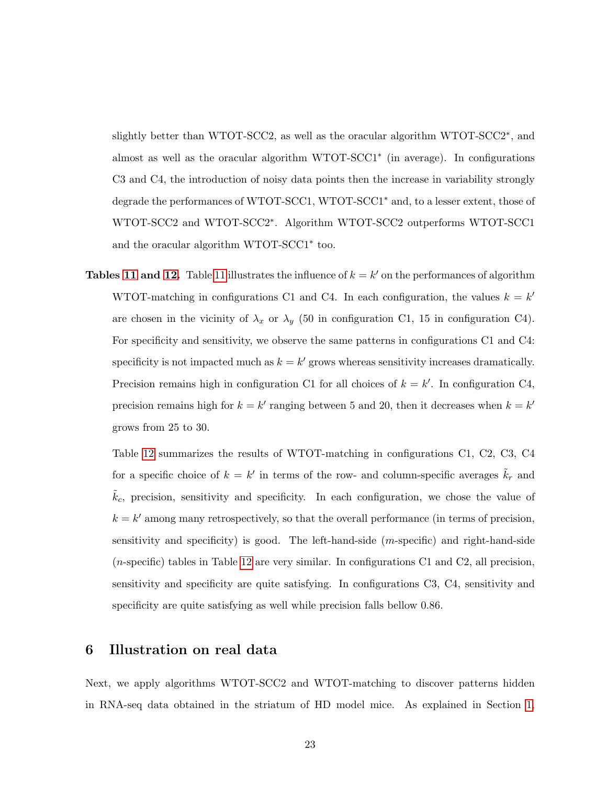slightly better than WTOT-SCC2, as well as the oracular algorithm WTOT-SCC2<sup>∗</sup>, and almost as well as the oracular algorithm WTOT-SCC1<sup>∗</sup> (in average). In configurations C3 and C4, the introduction of noisy data points then the increase in variability strongly degrade the performances of WTOT-SCC1, WTOT-SCC1<sup>∗</sup> and, to a lesser extent, those of WTOT-SCC2 and WTOT-SCC2<sup>∗</sup> . Algorithm WTOT-SCC2 outperforms WTOT-SCC1 and the oracular algorithm WTOT-SCC1<sup>∗</sup> too.

**Tables [11](#page-36-1) and [12.](#page-36-2)** Table 11 illustrates the influence of  $k = k'$  on the performances of algorithm WTOT-matching in configurations C1 and C4. In each configuration, the values  $k = k'$ are chosen in the vicinity of  $\lambda_x$  or  $\lambda_y$  (50 in configuration C1, 15 in configuration C4). For specificity and sensitivity, we observe the same patterns in configurations C1 and C4: specificity is not impacted much as  $k = k'$  grows whereas sensitivity increases dramatically. Precision remains high in configuration C1 for all choices of  $k = k'$ . In configuration C4, precision remains high for  $k = k'$  ranging between 5 and 20, then it decreases when  $k = k'$ grows from 25 to 30.

Table [12](#page-36-2) summarizes the results of WTOT-matching in configurations C1, C2, C3, C4 for a specific choice of  $k = k'$  in terms of the row- and column-specific averages  $\tilde{k}_r$  and  $\tilde{k}_c$ , precision, sensitivity and specificity. In each configuration, we chose the value of  $k = k'$  among many retrospectively, so that the overall performance (in terms of precision, sensitivity and specificity) is good. The left-hand-side (m-specific) and right-hand-side (n-specific) tables in Table [12](#page-36-2) are very similar. In configurations C1 and C2, all precision, sensitivity and specificity are quite satisfying. In configurations C3, C4, sensitivity and specificity are quite satisfying as well while precision falls bellow 0.86.

## <span id="page-22-0"></span>6 Illustration on real data

Next, we apply algorithms WTOT-SCC2 and WTOT-matching to discover patterns hidden in RNA-seq data obtained in the striatum of HD model mice. As explained in Section [1,](#page-0-0)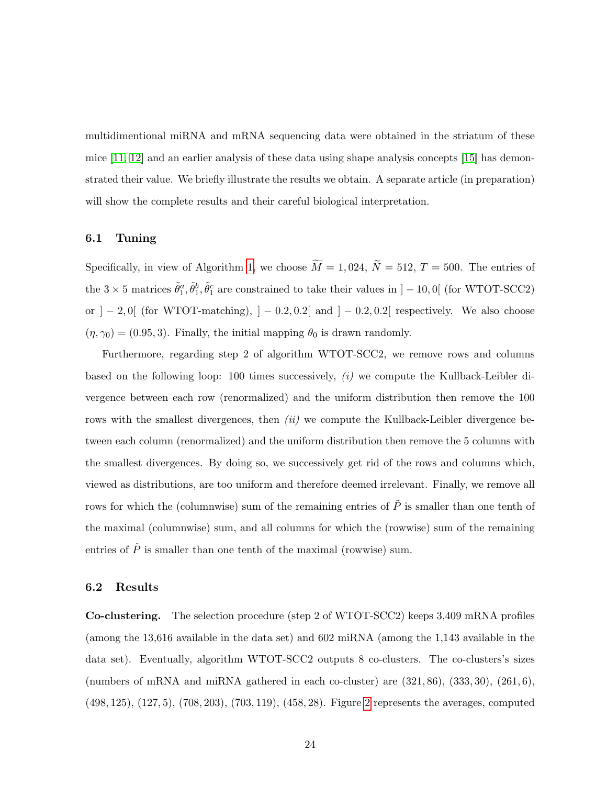multidimentional miRNA and mRNA sequencing data were obtained in the striatum of these mice  $[11, 12]$  $[11, 12]$  and an earlier analysis of these data using shape analysis concepts  $[15]$  has demonstrated their value. We briefly illustrate the results we obtain. A separate article (in preparation) will show the complete results and their careful biological interpretation.

## 6.1 Tuning

Specifically, in view of Algorithm [1,](#page-33-0) we choose  $\widetilde{M} = 1,024, \widetilde{N} = 512, T = 500$ . The entries of the  $3 \times 5$  matrices  $\tilde{\theta}_1^a, \tilde{\theta}_1^b, \tilde{\theta}_1^c$  are constrained to take their values in  $]-10,0[$  (for WTOT-SCC2) or  $]-2,0[$  (for WTOT-matching),  $]-0.2,0.2[$  and  $]-0.2,0.2[$  respectively. We also choose  $(\eta, \gamma_0) = (0.95, 3)$ . Finally, the initial mapping  $\theta_0$  is drawn randomly.

Furthermore, regarding step 2 of algorithm WTOT-SCC2, we remove rows and columns based on the following loop: 100 times successively, (i) we compute the Kullback-Leibler divergence between each row (renormalized) and the uniform distribution then remove the 100 rows with the smallest divergences, then  $(ii)$  we compute the Kullback-Leibler divergence between each column (renormalized) and the uniform distribution then remove the 5 columns with the smallest divergences. By doing so, we successively get rid of the rows and columns which, viewed as distributions, are too uniform and therefore deemed irrelevant. Finally, we remove all rows for which the (columnwise) sum of the remaining entries of  $\tilde{P}$  is smaller than one tenth of the maximal (columnwise) sum, and all columns for which the (rowwise) sum of the remaining entries of  $\tilde{P}$  is smaller than one tenth of the maximal (rowwise) sum.

## <span id="page-23-0"></span>6.2 Results

Co-clustering. The selection procedure (step 2 of WTOT-SCC2) keeps 3,409 mRNA profiles (among the 13,616 available in the data set) and 602 miRNA (among the 1,143 available in the data set). Eventually, algorithm WTOT-SCC2 outputs 8 co-clusters. The co-clusters's sizes (numbers of mRNA and miRNA gathered in each co-cluster) are  $(321, 86)$ ,  $(333, 30)$ ,  $(261, 6)$ , (498, 125), (127, 5), (708, 203), (703, 119), (458, 28). Figure [2](#page-24-0) represents the averages, computed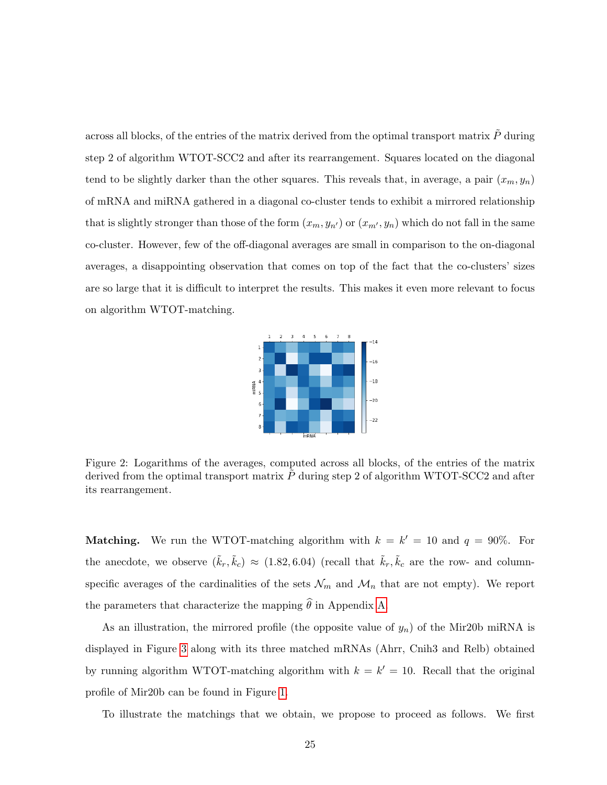across all blocks, of the entries of the matrix derived from the optimal transport matrix  $\tilde{P}$  during step 2 of algorithm WTOT-SCC2 and after its rearrangement. Squares located on the diagonal tend to be slightly darker than the other squares. This reveals that, in average, a pair  $(x_m, y_n)$ of mRNA and miRNA gathered in a diagonal co-cluster tends to exhibit a mirrored relationship that is slightly stronger than those of the form  $(x_m, y_{n'})$  or  $(x_{m'}, y_n)$  which do not fall in the same co-cluster. However, few of the off-diagonal averages are small in comparison to the on-diagonal averages, a disappointing observation that comes on top of the fact that the co-clusters' sizes are so large that it is difficult to interpret the results. This makes it even more relevant to focus on algorithm WTOT-matching.



<span id="page-24-0"></span>Figure 2: Logarithms of the averages, computed across all blocks, of the entries of the matrix derived from the optimal transport matrix  $\ddot{P}$  during step 2 of algorithm WTOT-SCC2 and after its rearrangement.

**Matching.** We run the WTOT-matching algorithm with  $k = k' = 10$  and  $q = 90\%$ . For the anecdote, we observe  $(\tilde{k}_r, \tilde{k}_c) \approx (1.82, 6.04)$  (recall that  $\tilde{k}_r, \tilde{k}_c$  are the row- and columnspecific averages of the cardinalities of the sets  $\mathcal{N}_m$  and  $\mathcal{M}_n$  that are not empty). We report the parameters that characterize the mapping  $\hat{\theta}$  in Appendix [A.](#page-31-0)

As an illustration, the mirrored profile (the opposite value of  $y_n$ ) of the Mir20b miRNA is displayed in Figure [3](#page-25-0) along with its three matched mRNAs (Ahrr, Cnih3 and Relb) obtained by running algorithm WTOT-matching algorithm with  $k = k' = 10$ . Recall that the original profile of Mir20b can be found in Figure [1.](#page-3-1)

To illustrate the matchings that we obtain, we propose to proceed as follows. We first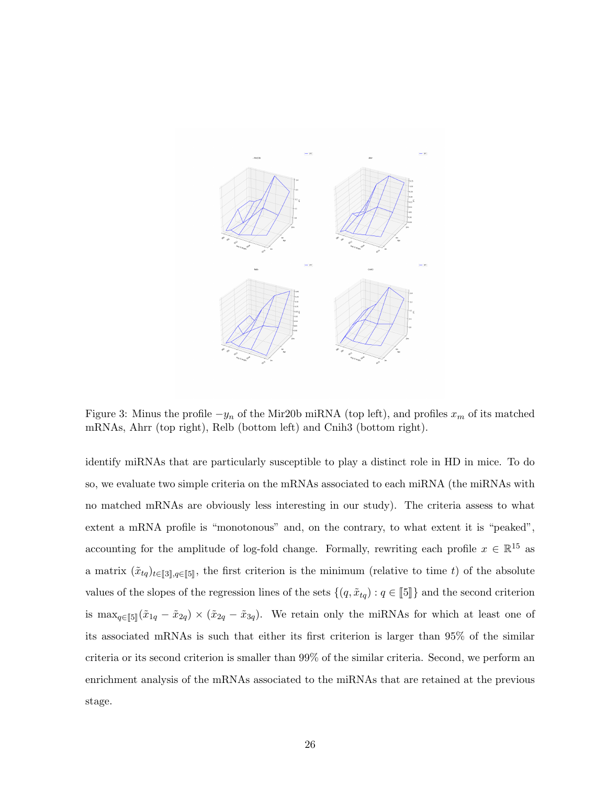<span id="page-25-0"></span>

Figure 3: Minus the profile  $-y_n$  of the Mir20b miRNA (top left), and profiles  $x_m$  of its matched mRNAs, Ahrr (top right), Relb (bottom left) and Cnih3 (bottom right).

identify miRNAs that are particularly susceptible to play a distinct role in HD in mice. To do so, we evaluate two simple criteria on the mRNAs associated to each miRNA (the miRNAs with no matched mRNAs are obviously less interesting in our study). The criteria assess to what extent a mRNA profile is "monotonous" and, on the contrary, to what extent it is "peaked", accounting for the amplitude of log-fold change. Formally, rewriting each profile  $x \in \mathbb{R}^{15}$  as a matrix  $(\tilde{x}_{tq})_{t\in\llbracket 3\rrbracket,q \in \llbracket 5\rrbracket}$ , the first criterion is the minimum (relative to time t) of the absolute values of the slopes of the regression lines of the sets  $\{(q, \tilde{x}_{tq}) : q \in \llbracket 5 \rrbracket\}$  and the second criterion is  $\max_{q \in [\![ 5 ]\!]} (\tilde{x}_{1q} - \tilde{x}_{2q}) \times (\tilde{x}_{2q} - \tilde{x}_{3q}).$  We retain only the miRNAs for which at least one of its associated mRNAs is such that either its first criterion is larger than 95% of the similar criteria or its second criterion is smaller than 99% of the similar criteria. Second, we perform an enrichment analysis of the mRNAs associated to the miRNAs that are retained at the previous stage.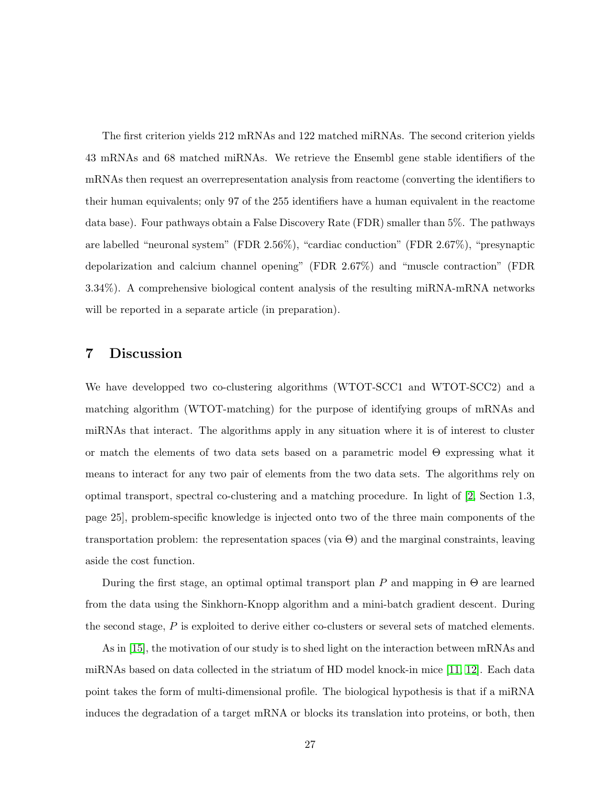The first criterion yields 212 mRNAs and 122 matched miRNAs. The second criterion yields 43 mRNAs and 68 matched miRNAs. We retrieve the Ensembl gene stable identifiers of the mRNAs then request an overrepresentation analysis from reactome (converting the identifiers to their human equivalents; only 97 of the 255 identifiers have a human equivalent in the reactome data base). Four pathways obtain a False Discovery Rate (FDR) smaller than 5%. The pathways are labelled "neuronal system" (FDR 2.56%), "cardiac conduction" (FDR 2.67%), "presynaptic depolarization and calcium channel opening" (FDR 2.67%) and "muscle contraction" (FDR 3.34%). A comprehensive biological content analysis of the resulting miRNA-mRNA networks will be reported in a separate article (in preparation).

# <span id="page-26-0"></span>7 Discussion

We have developped two co-clustering algorithms (WTOT-SCC1 and WTOT-SCC2) and a matching algorithm (WTOT-matching) for the purpose of identifying groups of mRNAs and miRNAs that interact. The algorithms apply in any situation where it is of interest to cluster or match the elements of two data sets based on a parametric model Θ expressing what it means to interact for any two pair of elements from the two data sets. The algorithms rely on optimal transport, spectral co-clustering and a matching procedure. In light of [\[2,](#page-28-3) Section 1.3, page 25], problem-specific knowledge is injected onto two of the three main components of the transportation problem: the representation spaces (via  $\Theta$ ) and the marginal constraints, leaving aside the cost function.

During the first stage, an optimal optimal transport plan P and mapping in  $\Theta$  are learned from the data using the Sinkhorn-Knopp algorithm and a mini-batch gradient descent. During the second stage, P is exploited to derive either co-clusters or several sets of matched elements.

As in [\[15\]](#page-30-0), the motivation of our study is to shed light on the interaction between mRNAs and miRNAs based on data collected in the striatum of HD model knock-in mice [\[11,](#page-29-0) [12\]](#page-29-2). Each data point takes the form of multi-dimensional profile. The biological hypothesis is that if a miRNA induces the degradation of a target mRNA or blocks its translation into proteins, or both, then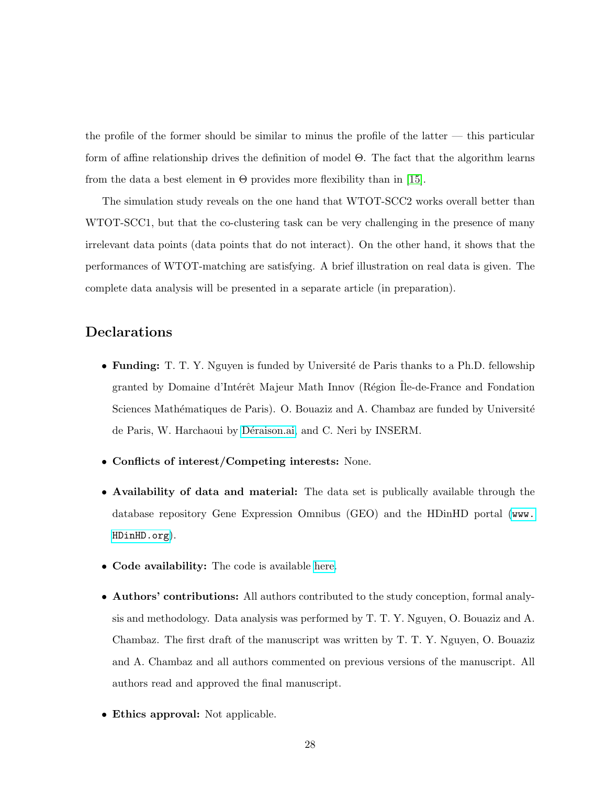the profile of the former should be similar to minus the profile of the latter — this particular form of affine relationship drives the definition of model Θ. The fact that the algorithm learns from the data a best element in  $\Theta$  provides more flexibility than in [\[15\]](#page-30-0).

The simulation study reveals on the one hand that WTOT-SCC2 works overall better than WTOT-SCC1, but that the co-clustering task can be very challenging in the presence of many irrelevant data points (data points that do not interact). On the other hand, it shows that the performances of WTOT-matching are satisfying. A brief illustration on real data is given. The complete data analysis will be presented in a separate article (in preparation).

# Declarations

- Funding: T. T. Y. Nguyen is funded by Université de Paris thanks to a Ph.D. fellowship granted by Domaine d'Intérêt Majeur Math Innov (Région Île-de-France and Fondation Sciences Mathématiques de Paris). O. Bouaziz and A. Chambaz are funded by Université de Paris, W. Harchaoui by Déraison.ai, and C. Neri by INSERM.
- Conflicts of interest/Competing interests: None.
- Availability of data and material: The data set is publically available through the database repository Gene Expression Omnibus (GEO) and the HDinHD portal ([www.](www.HDinHD.org) [HDinHD.org](www.HDinHD.org)).
- Code availability: The code is available [here.](https://github.com/yen-nguyen-thi-thanh/wtot_coclust_match)
- Authors' contributions: All authors contributed to the study conception, formal analysis and methodology. Data analysis was performed by T. T. Y. Nguyen, O. Bouaziz and A. Chambaz. The first draft of the manuscript was written by T. T. Y. Nguyen, O. Bouaziz and A. Chambaz and all authors commented on previous versions of the manuscript. All authors read and approved the final manuscript.
- Ethics approval: Not applicable.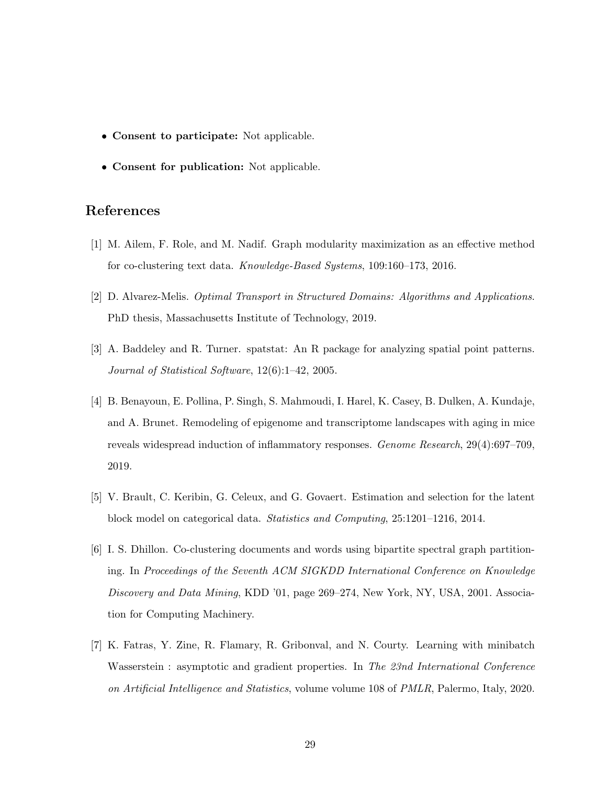- Consent to participate: Not applicable.
- Consent for publication: Not applicable.

# References

- <span id="page-28-5"></span>[1] M. Ailem, F. Role, and M. Nadif. Graph modularity maximization as an effective method for co-clustering text data. Knowledge-Based Systems, 109:160–173, 2016.
- <span id="page-28-3"></span>[2] D. Alvarez-Melis. Optimal Transport in Structured Domains: Algorithms and Applications. PhD thesis, Massachusetts Institute of Technology, 2019.
- <span id="page-28-6"></span>[3] A. Baddeley and R. Turner. spatstat: An R package for analyzing spatial point patterns. Journal of Statistical Software, 12(6):1–42, 2005.
- <span id="page-28-0"></span>[4] B. Benayoun, E. Pollina, P. Singh, S. Mahmoudi, I. Harel, K. Casey, B. Dulken, A. Kundaje, and A. Brunet. Remodeling of epigenome and transcriptome landscapes with aging in mice reveals widespread induction of inflammatory responses. Genome Research, 29(4):697–709, 2019.
- <span id="page-28-2"></span>[5] V. Brault, C. Keribin, G. Celeux, and G. Govaert. Estimation and selection for the latent block model on categorical data. Statistics and Computing, 25:1201–1216, 2014.
- <span id="page-28-1"></span>[6] I. S. Dhillon. Co-clustering documents and words using bipartite spectral graph partitioning. In Proceedings of the Seventh ACM SIGKDD International Conference on Knowledge Discovery and Data Mining, KDD '01, page 269–274, New York, NY, USA, 2001. Association for Computing Machinery.
- <span id="page-28-4"></span>[7] K. Fatras, Y. Zine, R. Flamary, R. Gribonval, and N. Courty. Learning with minibatch Wasserstein : asymptotic and gradient properties. In The 23nd International Conference on Artificial Intelligence and Statistics, volume volume 108 of PMLR, Palermo, Italy, 2020.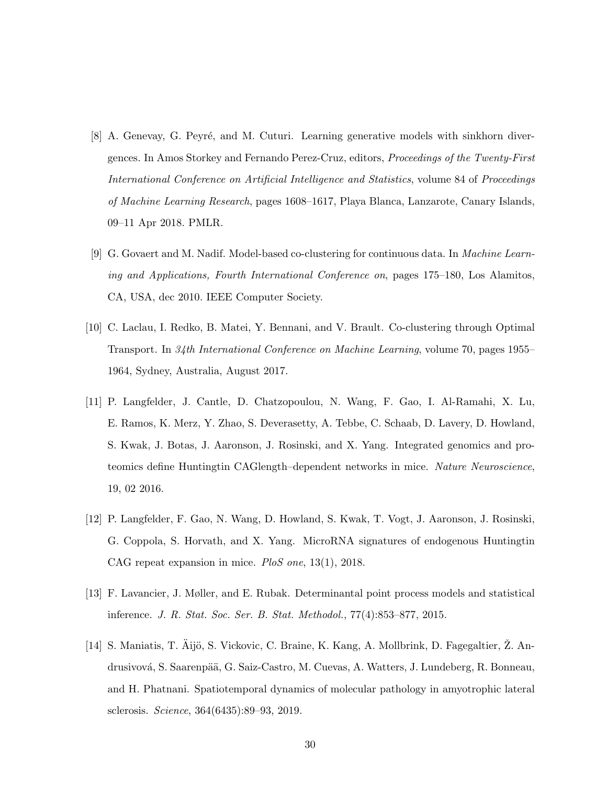- <span id="page-29-4"></span>[8] A. Genevay, G. Peyré, and M. Cuturi. Learning generative models with sinkhorn divergences. In Amos Storkey and Fernando Perez-Cruz, editors, Proceedings of the Twenty-First International Conference on Artificial Intelligence and Statistics, volume 84 of Proceedings of Machine Learning Research, pages 1608–1617, Playa Blanca, Lanzarote, Canary Islands, 09–11 Apr 2018. PMLR.
- <span id="page-29-3"></span>[9] G. Govaert and M. Nadif. Model-based co-clustering for continuous data. In Machine Learning and Applications, Fourth International Conference on, pages 175–180, Los Alamitos, CA, USA, dec 2010. IEEE Computer Society.
- <span id="page-29-5"></span>[10] C. Laclau, I. Redko, B. Matei, Y. Bennani, and V. Brault. Co-clustering through Optimal Transport. In 34th International Conference on Machine Learning, volume 70, pages 1955– 1964, Sydney, Australia, August 2017.
- <span id="page-29-0"></span>[11] P. Langfelder, J. Cantle, D. Chatzopoulou, N. Wang, F. Gao, I. Al-Ramahi, X. Lu, E. Ramos, K. Merz, Y. Zhao, S. Deverasetty, A. Tebbe, C. Schaab, D. Lavery, D. Howland, S. Kwak, J. Botas, J. Aaronson, J. Rosinski, and X. Yang. Integrated genomics and proteomics define Huntingtin CAGlength–dependent networks in mice. Nature Neuroscience, 19, 02 2016.
- <span id="page-29-2"></span>[12] P. Langfelder, F. Gao, N. Wang, D. Howland, S. Kwak, T. Vogt, J. Aaronson, J. Rosinski, G. Coppola, S. Horvath, and X. Yang. MicroRNA signatures of endogenous Huntingtin CAG repeat expansion in mice. PloS one, 13(1), 2018.
- <span id="page-29-6"></span>[13] F. Lavancier, J. Møller, and E. Rubak. Determinantal point process models and statistical inference. J. R. Stat. Soc. Ser. B. Stat. Methodol., 77(4):853–877, 2015.
- <span id="page-29-1"></span>[14] S. Maniatis, T. Aijö, S. Vickovic, C. Braine, K. Kang, A. Mollbrink, D. Fagegaltier, Z. Andrusivová, S. Saarenpää, G. Saiz-Castro, M. Cuevas, A. Watters, J. Lundeberg, R. Bonneau, and H. Phatnani. Spatiotemporal dynamics of molecular pathology in amyotrophic lateral sclerosis. Science, 364(6435):89–93, 2019.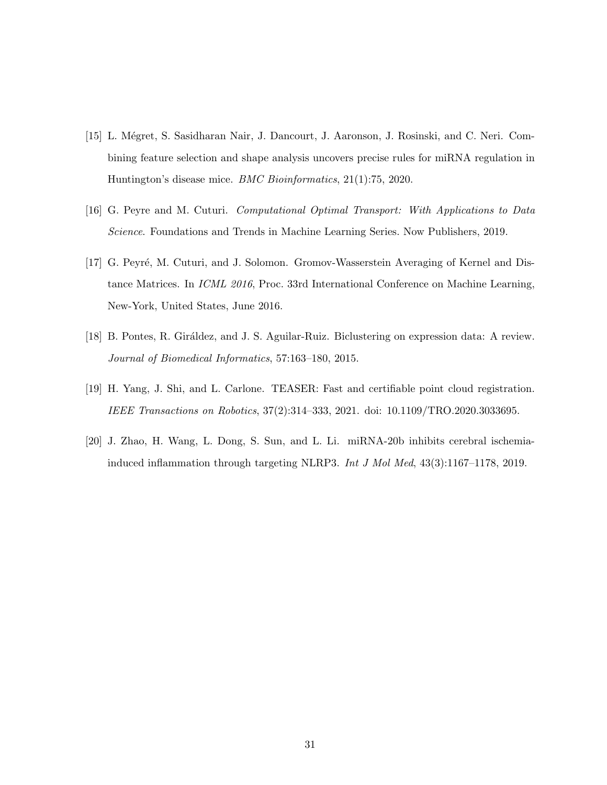- <span id="page-30-0"></span>[15] L. Mégret, S. Sasidharan Nair, J. Dancourt, J. Aaronson, J. Rosinski, and C. Neri. Combining feature selection and shape analysis uncovers precise rules for miRNA regulation in Huntington's disease mice. BMC Bioinformatics, 21(1):75, 2020.
- <span id="page-30-1"></span>[16] G. Peyre and M. Cuturi. Computational Optimal Transport: With Applications to Data Science. Foundations and Trends in Machine Learning Series. Now Publishers, 2019.
- <span id="page-30-5"></span>[17] G. Peyré, M. Cuturi, and J. Solomon. Gromov-Wasserstein Averaging of Kernel and Distance Matrices. In ICML 2016, Proc. 33rd International Conference on Machine Learning, New-York, United States, June 2016.
- <span id="page-30-2"></span>[18] B. Pontes, R. Giráldez, and J. S. Aguilar-Ruiz. Biclustering on expression data: A review. Journal of Biomedical Informatics, 57:163–180, 2015.
- <span id="page-30-4"></span>[19] H. Yang, J. Shi, and L. Carlone. TEASER: Fast and certifiable point cloud registration. IEEE Transactions on Robotics, 37(2):314–333, 2021. doi: 10.1109/TRO.2020.3033695.
- <span id="page-30-3"></span>[20] J. Zhao, H. Wang, L. Dong, S. Sun, and L. Li. miRNA-20b inhibits cerebral ischemiainduced inflammation through targeting NLRP3. Int J Mol Med, 43(3):1167–1178, 2019.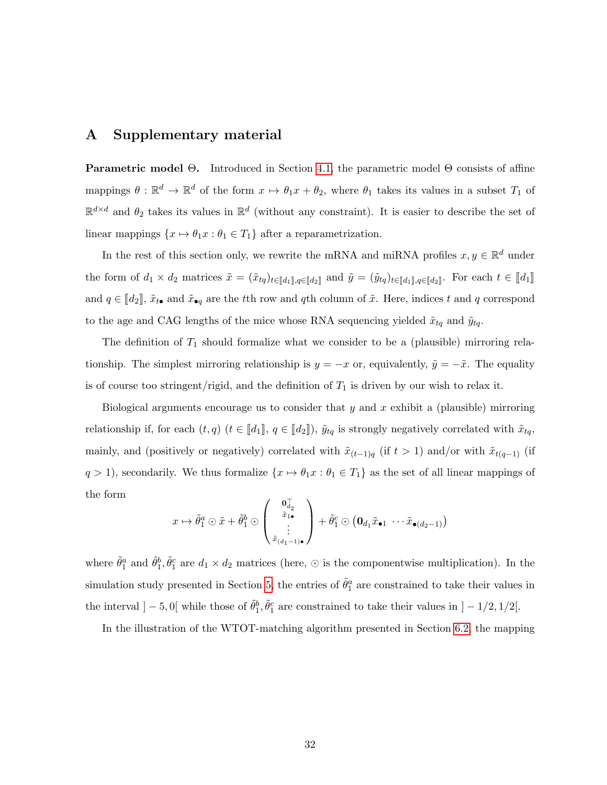# <span id="page-31-0"></span>A Supplementary material

Parametric model Θ. Introduced in Section [4.1,](#page-4-2) the parametric model Θ consists of affine mappings  $\theta : \mathbb{R}^d \to \mathbb{R}^d$  of the form  $x \mapsto \theta_1 x + \theta_2$ , where  $\theta_1$  takes its values in a subset  $T_1$  of  $\mathbb{R}^{d \times d}$  and  $\theta_2$  takes its values in  $\mathbb{R}^d$  (without any constraint). It is easier to describe the set of linear mappings  $\{x\mapsto \theta_1 x: \theta_1\in T_1\}$  after a reparametrization.

In the rest of this section only, we rewrite the mRNA and miRNA profiles  $x, y \in \mathbb{R}^d$  under the form of  $d_1 \times d_2$  matrices  $\tilde{x} = (\tilde{x}_{tq})_{t \in [\![d_1]\!], q \in [\![d_2]\!]}$  and  $\tilde{y} = (\tilde{y}_{tq})_{t \in [\![d_1]\!], q \in [\![d_2]\!]}$ . For each  $t \in [\![d_1]\!]$ and  $q \in [\![d_2]\!]$ ,  $\tilde{x}_{t\bullet}$  and  $\tilde{x}_{\bullet q}$  are the tth row and qth column of  $\tilde{x}$ . Here, indices t and q correspond to the age and CAG lengths of the mice whose RNA sequencing yielded  $\tilde{x}_{tq}$  and  $\tilde{y}_{tq}$ .

The definition of  $T_1$  should formalize what we consider to be a (plausible) mirroring relationship. The simplest mirroring relationship is  $y = -x$  or, equivalently,  $\tilde{y} = -\tilde{x}$ . The equality is of course too stringent/rigid, and the definition of  $T_1$  is driven by our wish to relax it.

Biological arguments encourage us to consider that  $y$  and  $x$  exhibit a (plausible) mirroring relationship if, for each  $(t, q)$   $(t \in [d_1], q \in [d_2])$ ,  $\tilde{y}_{tq}$  is strongly negatively correlated with  $\tilde{x}_{tq}$ , mainly, and (positively or negatively) correlated with  $\tilde{x}_{(t-1)q}$  (if  $t > 1$ ) and/or with  $\tilde{x}_{t(q-1)}$  (if  $q > 1$ , secondarily. We thus formalize  $\{x \mapsto \theta_1 x : \theta_1 \in T_1\}$  as the set of all linear mappings of the form

$$
x \mapsto \tilde{\theta}_1^a \odot \tilde{x} + \tilde{\theta}_1^b \odot \begin{pmatrix} \mathbf{0}_{d_2}^{\mathsf{T}} \\ \tilde{x}_{1\bullet} \\ \vdots \\ \tilde{x}_{(d_1-1)\bullet} \end{pmatrix} + \tilde{\theta}_1^c \odot (\mathbf{0}_{d_1} \tilde{x}_{\bullet 1} \cdots \tilde{x}_{\bullet (d_2-1)})
$$

where  $\tilde{\theta}_1^a$  and  $\tilde{\theta}_1^b$ ,  $\tilde{\theta}_1^c$  are  $d_1 \times d_2$  matrices (here,  $\odot$  is the componentwise multiplication). In the simulation study presented in Section [5,](#page-9-0) the entries of  $\tilde{\theta}_1^a$  are constrained to take their values in the interval  $]-5,0[$  while those of  $\tilde{\theta}_1^b$ ,  $\tilde{\theta}_1^c$  are constrained to take their values in  $]-1/2,1/2[$ .

In the illustration of the WTOT-matching algorithm presented in Section [6.2,](#page-23-0) the mapping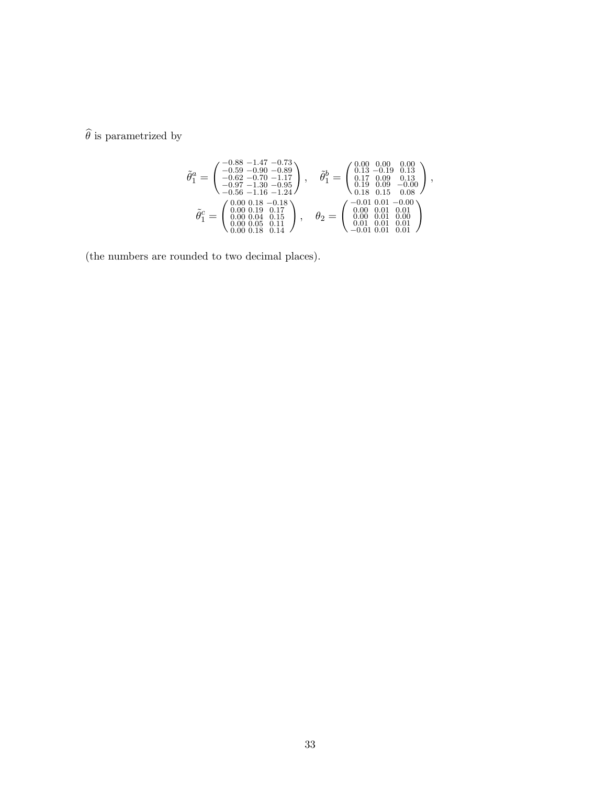$\widehat{\theta}$  is parametrized by

$$
\tilde{\theta}^a_1 = \begin{pmatrix}\n-0.88 & -1.47 & -0.73 \\
-0.59 & -0.90 & -0.89 \\
-0.62 & -0.70 & -1.17 \\
-0.97 & -1.30 & -0.95 \\
-0.56 & -1.16 & -1.24\n\end{pmatrix}, \quad \tilde{\theta}^b_1 = \begin{pmatrix}\n0.00 & 0.00 & 0.00 \\
0.13 & -0.19 & 0.13 \\
0.17 & 0.09 & 0.13 \\
0.19 & 0.09 & -0.00 \\
0.18 & 0.15 & 0.08\n\end{pmatrix},
$$
\n
$$
\tilde{\theta}^c_1 = \begin{pmatrix}\n0.00 & 0.18 & -0.18 \\
0.90 & 0.17 & 0.99 \\
0.00 & 0.19 & 0.17 \\
0.00 & 0.01 & 0.10 \\
0.00 & 0.01 & 0.01 \\
0.00 & 0.18 & 0.11\n\end{pmatrix}, \quad \theta_2 = \begin{pmatrix}\n-0.01 & 0.01 & -0.00 \\
0.00 & 0.01 & 0.01 \\
0.00 & 0.01 & 0.01 \\
0.00 & 0.01 & 0.01 \\
0.01 & 0.01 & 0.01 \\
-0.01 & 0.01 & 0.01\n\end{pmatrix}
$$

(the numbers are rounded to two decimal places).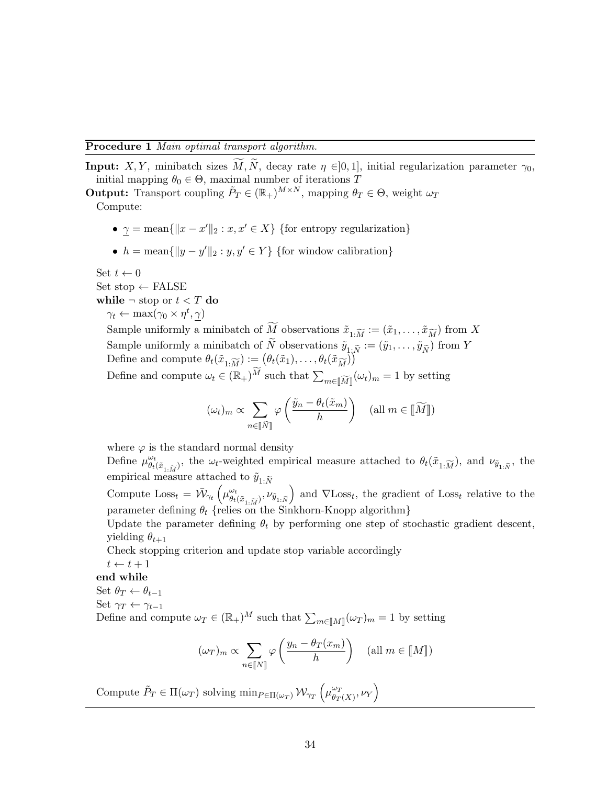<span id="page-33-0"></span>**Input:** X, Y, minibatch sizes  $\overline{M}$ ,  $\overline{N}$ , decay rate  $\eta \in ]0,1]$ , initial regularization parameter  $\gamma_0$ , initial mapping  $\theta_0 \in \Theta$ , maximal number of iterations T

**Output:** Transport coupling  $\tilde{P}_T \in (\mathbb{R}_+)^{M \times N}$ , mapping  $\theta_T \in \Theta$ , weight  $\omega_T$ Compute:

- $\gamma = \text{mean}\{\|x x'\|_2 : x, x' \in X\}$  {for entropy regularization}
- $h = \text{mean}\{\|y y'\|_2 : y, y' \in Y\}$  {for window calibration}

Set  $t \leftarrow 0$ 

Set stop  $\leftarrow$  FALSE

while  $\neg$  stop or  $t < T$  do

 $\gamma_t \leftarrow \max(\gamma_0 \times \eta^t, \gamma)$ 

Sample uniformly a minibatch of  $\widetilde{M}$  observations  $\tilde{x}_{1:\widetilde{M}} := (\tilde{x}_1, \ldots, \tilde{x}_{\widetilde{M}})$  from X Sample uniformly a minibatch of N observations  $\tilde{y}_{1,\tilde{N}} := (\tilde{y}_1, \ldots, \tilde{y}_{\tilde{N}})$  from Y Define and compute  $\theta_t(\tilde{x}_{1:\widetilde{M}}) := (\theta_t(\tilde{x}_1), \ldots, \theta_t(\tilde{x}_{\widetilde{M}}))$ Define and compute  $\omega_t \in (\mathbb{R}_+)^{\tilde{M}}$  such that  $\sum$  $m \in [\![\widetilde{M}]\!](\omega_t)_m = 1$  by setting

$$
(\omega_t)_m \propto \sum_{n \in [\![\widetilde{N}]\!]} \varphi\left(\frac{\widetilde{y}_n - \theta_t(\widetilde{x}_m)}{h}\right) \quad (\text{all } m \in [\![\widetilde{M}]\!])
$$

where  $\varphi$  is the standard normal density

Define  $\mu^{\omega_t}_{\theta}$  $\frac{\omega_t}{\theta_t(\tilde{x}_{1:\widetilde{M}})}$ , the  $\omega_t$ -weighted empirical measure attached to  $\theta_t(\tilde{x}_{1:\widetilde{M}})$ , and  $\nu_{\tilde{y}_{1:\widetilde{N}}}$ , the empirical measure attached to  $\tilde{y}_{1:\tilde{N}}$ 

Compute  $\text{Loss}_t = \bar{\mathcal{W}}_{\gamma_t} \left( \mu_{\theta_t}^{\omega_t} \right)$  $\left(\begin{array}{c}\omega_t\\ \theta_t(\tilde{x}_{1:\widetilde{M}}), \nu_{\tilde{y}_{1:\widetilde{N}}}\end{array}\right)$  and  $\nabla$ Loss<sub>t</sub>, the gradient of Loss<sub>t</sub> relative to the parameter defining  $\theta_t$  {relies on the Sinkhorn-Knopp algorithm}

Update the parameter defining  $\theta_t$  by performing one step of stochastic gradient descent, yielding  $\theta_{t+1}$ 

Check stopping criterion and update stop variable accordingly

 $t \leftarrow t + 1$ 

end while

Set  $\theta_T \leftarrow \theta_{t-1}$ 

Set  $\gamma_T \leftarrow \gamma_{t-1}$ 

Define and compute  $\omega_T \in (\mathbb{R}_+)^M$  such that  $\sum_{m \in [\![M]\!]} (\omega_T)_m = 1$  by setting

$$
(\omega_T)_m \propto \sum_{n \in [\![N]\!]} \varphi\left(\frac{y_n - \theta_T(x_m)}{h}\right) \quad (\text{all } m \in [\![M]\!])
$$

Compute  $\tilde{P}_T \in \Pi(\omega_T)$  solving  $\min_{P \in \Pi(\omega_T)} \mathcal{W}_{\gamma_T} \left( \mu_{\theta_T}^{\omega_T} \right)$  $\bigl(\begin{smallmatrix} \omega_T \ \theta_T(X)\end{smallmatrix}\bigr, \nu_Y \Bigr)$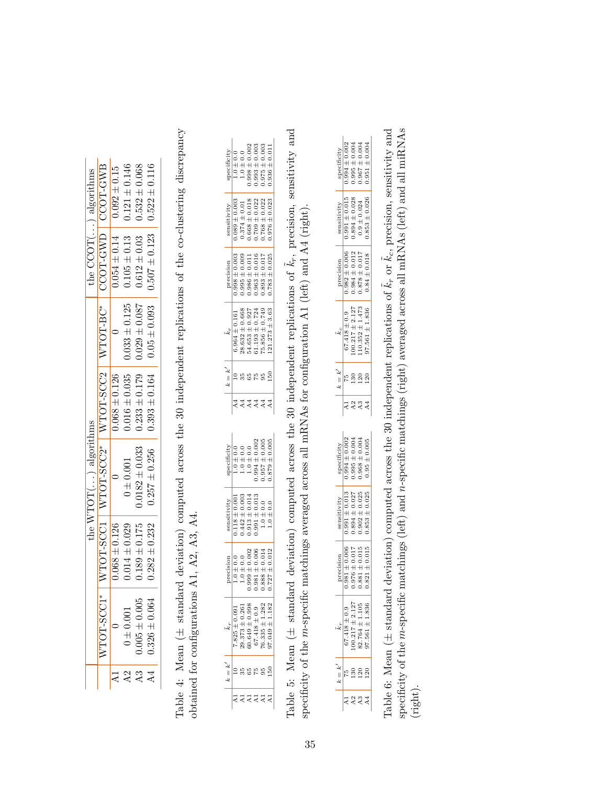<span id="page-34-1"></span><span id="page-34-0"></span>

|                 |                   |                   | the $WTOT($ ) algorithms                         |                   |                                      | the $\text{COT}(\ldots)$ algorithms |                   |
|-----------------|-------------------|-------------------|--------------------------------------------------|-------------------|--------------------------------------|-------------------------------------|-------------------|
|                 | ₩<br>VTOT-SCC     |                   | *20HOLIX   COOS-HOLIX   *20DS-HOLIX   LOOS-HOLIX |                   |                                      | CCOT-GWD                            | CCOT-GWB          |
|                 |                   | $0.068 \pm 0.126$ |                                                  | $0.068 \pm 0.126$ |                                      | $0.054 \pm 0.14$                    | $0.092 \pm 0.15$  |
| A2              | $0 \pm 0.001$     | $0.014 \pm 0.029$ | 0.001                                            | $0.016 \pm 0.035$ | $0.033 \pm 0.125$                    | $0.105 \pm 0.13$                    | $0.121 \pm 0.146$ |
| $\overline{A}3$ | $0.005 \pm 0.005$ | $0.189 \pm 0.175$ | $0.0182 \pm 0.033$                               | $0.233 \pm 0.179$ | $0.029 \pm 0.087$   0.612 $\pm 0.03$ |                                     | $0.532 \pm 0.068$ |
| $\overline{4}$  | $0.326 \pm 0.064$ | $0.282 \pm 0.232$ | $0.257 \pm 0.256$                                | $0.393 \pm 0.164$ |                                      | $0.507 \pm 0.123$ 0.522 $\pm$ 0.116 |                   |
|                 |                   |                   |                                                  |                   |                                      |                                     |                   |

Table 4: Mean  $($   $\pm$  standard deviation) computed across the 30 independent replications of the co-clustering discrepancy Table 4: Mean (± standard deviation) computed across the 30 independent replications of the co-clustering discrepancy obtained for configurations A1, A2, A3, A4. obtained for configurations  $A1$ ,  $A2$ ,  $A3$ ,  $A4$ .

|                    | $0.0 + 0.1$       | $1.0\pm0.0$                                       | $0.998 \pm 0.002$                        | $0.003$ + 0.003       | $0.975 \pm 0.003$                  | $0.936 \pm 0.01$    |
|--------------------|-------------------|---------------------------------------------------|------------------------------------------|-----------------------|------------------------------------|---------------------|
|                    |                   |                                                   |                                          |                       |                                    |                     |
| sensitivity        | $0.000 \pm 0.003$ | $0.374 \pm 0.01$                                  | $0.668 \pm 0.018$                        | $0.709 \pm 0.022$     | $0.768 \pm 0.022$                  | $0.976 \pm 0.023$   |
|                    |                   |                                                   |                                          |                       |                                    |                     |
| precision          | $0.0000 + 866$    | $0.995 \pm 0.009$                                 | $.986 \pm 0.011$                         | $0.963 \pm 0.016$     | $0.893 \pm 0.017$                  | $0.783 \pm 0.025$   |
|                    |                   |                                                   |                                          |                       |                                    |                     |
|                    | $0.964 \pm 0.161$ | $28.632 \pm 0.668$                                | $64.653 \pm 0.927$<br>i1.193 $\pm$ 0.724 |                       | $75.856 \pm 0.749$                 | $121.273 \pm 3.63$  |
|                    |                   |                                                   |                                          |                       |                                    |                     |
| $k = k'$           |                   |                                                   |                                          |                       |                                    |                     |
|                    |                   |                                                   |                                          |                       |                                    |                     |
|                    |                   |                                                   | d d d d d<br>A d d d d                   |                       |                                    |                     |
|                    |                   |                                                   |                                          |                       |                                    |                     |
|                    |                   |                                                   |                                          |                       |                                    |                     |
|                    | $1.0 \pm 0.0$     |                                                   | $1.0 \pm 0.0$<br>$1.0 \pm 0.0$           |                       | $0.994 \pm 0.002$<br>0.957 ± 0.005 | $0.879 \pm 0.005$   |
|                    |                   |                                                   |                                          |                       |                                    |                     |
|                    | $0.118 \pm 0.001$ | $0.442 \pm 0.003$                                 | $0.913 \pm 0.014$                        | $-991 \pm 0.013$      | $.0 + 0.0$                         | $0.0 + 0.0$         |
|                    |                   |                                                   |                                          |                       |                                    |                     |
| recision           |                   | $1.0 \pm 0.0$<br>$1.0 \pm 0.0$<br>$999 \pm 0.002$ | 39.                                      | $81 + 0.006$          | $88 \pm 0.014$                     | $27 \pm 0.015$<br>t |
|                    |                   |                                                   |                                          |                       |                                    |                     |
| k.r                | $.825 \pm 0.091$  | $0.373 \pm 0.261$                                 | $0.649 \pm 0.998$                        | $\pm 0.9$<br>$-.418.$ | $0.335 \pm 1.282$                  |                     |
| $\frac{1}{1}$<br>Ł |                   |                                                   | ក្នុងនិងខ្លួ                             |                       |                                    |                     |

Table 5: Mean ( $\pm$  standard deviation) computed across the 30 independent replications of  $\tilde{k}_r$ , precision, sensitivity and Table 5: Mean ( $\pm$  standard deviation) computed across the 30 independent replications of  $\vec{k}_r$ , precision, sensitivity and  $\vec{k}_r$ , i.e. specificity of the m-specific matchings averaged across all mRNAs for configuration A1 (left) and A4 (right). specificity of the m-specific matchings averaged across all mRNAs for configuration A1 (left) and A4 (right).

<span id="page-34-2"></span>

|               | $0.994 \pm 0.002$ | $0.995 \pm 0.004$   | $0.967 \pm 0.004$                                                                           | $0.951 \pm 0.004$  |  |
|---------------|-------------------|---------------------|---------------------------------------------------------------------------------------------|--------------------|--|
| sensitivity   | $0.991 \pm 0.015$ | $0.894 \pm 0.028$   | $\begin{array}{c} 0.9 \pm 0.024 \\ 0.853 \pm 0.026 \end{array}$                             |                    |  |
| orecision     | $.982 \pm 0.006$  |                     | $\begin{array}{c} 0.984 \pm 0.012 \\ 0.878 \pm 0.017 \\ 0.17 \\ 0.84 \pm 0.018 \end{array}$ |                    |  |
|               | $67.418 \pm 0.9$  | $100.217 \pm 2.127$ | $.10.352 \pm 1.473$                                                                         | $97.561 \pm 1.836$ |  |
|               |                   |                     | 120                                                                                         | $\frac{20}{2}$     |  |
|               |                   | A <sub>2</sub>      | A3                                                                                          |                    |  |
|               |                   |                     |                                                                                             |                    |  |
|               | $0.994 \pm 0.002$ | $0.995 \pm 0.004$   | $0.968 \pm 0.004$                                                                           | $0.95 \pm 0.005$   |  |
|               | $0.991 \pm 0.013$ | $0.894 \pm 0.027$   | $.902 \pm 0.025$                                                                            | $0.853 \pm 0.025$  |  |
| recision<br>¢ | $0.981 \pm 0.006$ | $0.976 \pm 0.017$   | $81 \pm 0.015$                                                                              | $21 \pm 0.015$     |  |
|               | $67.418 \pm 0.9$  | $0.217 \pm 2.127$   | 82.764 $\pm$ 1.105                                                                          | $97.561 \pm 1.836$ |  |
| $\parallel$   |                   | <b>្រ</b> ដី ខ្លី   |                                                                                             |                    |  |

Table 6: Mean ( $\pm$  standard deviation) computed across the 30 independent replications of  $\tilde{k}_r$  or  $\tilde{k}_c$ , precision, sensitivity and specificity of the m-specific matchings (left) and n-specific matchings (right) averaged across all mRNAs (left) and all miRNAs Table 6: Mean ( $\pm$  standard deviation) computed across the 30 independent replications of  $\tilde{k}_r$  or  $\tilde{k}_c$ , precision, sensitivity and  $\Gamma_{c,n}$  or  $\tilde{k}_{c,n}$  or  $\tilde{k}_{c,n}$  or  $\tilde{k}_{c,n}$  or  $\tilde{k}_{c,n}$  and  $\tilde{k}_{c,n}$  o specificity of the m-specific matchings (left) and n-specific matchings (right) averaged across all mRNAs (left) and all miRNAs (right).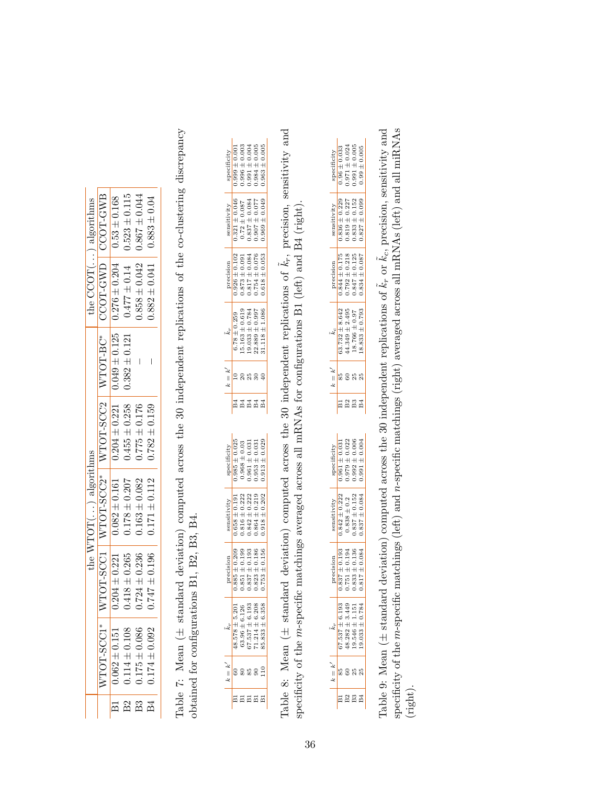<span id="page-35-2"></span><span id="page-35-0"></span>

| the $CCOT($ ) algorithms | CCOT-GWB                          | $0.049 \pm 0.125$   0.276 $\pm$ 0.204   0.53 $\pm$ 0.168 | $0.477 \pm 0.14$ 0.523 $\pm$ 0.115    | $0.858 \pm 0.042$ 0.867 $\pm 0.044$ | $0.883 \pm 0.04$         |
|--------------------------|-----------------------------------|----------------------------------------------------------|---------------------------------------|-------------------------------------|--------------------------|
|                          | CCOT-GWD                          |                                                          |                                       |                                     | $0.882 \pm 0.041$        |
|                          | I WTOT-BC*                        |                                                          | $0.455 \pm 0.258$   0.382 $\pm$ 0.121 | I                                   | I                        |
|                          |                                   | $0.204 \pm 0.221$                                        |                                       | $0.775 \pm 0.176$                   | $0.782 \pm 0.159$        |
| the $WTOT()$ algorithms  | WTOT-SUCH   WTOT-SUCH   TOUS-LORE | $0.082 \pm 0.161$                                        | $0.178 \pm 0.207$                     | $0.163 \pm 0.082$                   | $0.171 \pm 0.112$        |
|                          |                                   | $0.204 \pm 0.221$                                        | $0.418 \pm 0.265$                     | $0.724 \pm 0.236$                   | $0.747 \pm 0.196$        |
|                          | VTOT-SCC1                         | $0.062 \pm 0.151$                                        | $0.114 \pm 0.108$                     | $0.175 \pm 0.086$                   | $0.174 \pm 0.092$        |
|                          |                                   | $\Xi$                                                    | $_{\rm B2}$                           | B3                                  | $\overline{\mathtt{B4}}$ |

Table 7: Mean  $(\pm$  standard deviation) computed across the 30 independent replications of the co-clustering discrepancy Table 7: Mean (± standard deviation) computed across the 30 independent replications of the co-clustering discrepancy obtained for configurations B1, B2, B3, B4. obtained for configurations B1, B2, B3, B4.

|                  |                  |              | $\begin{array}{c} 0.999 \pm 0.001 \\ 0.996 \pm 0.003 \\ 0.01 \pm 0.003 \\ 0.984 \pm 0.004 \\ \end{array}$ |                   | $0.963 \pm 0.005$    |
|------------------|------------------|--------------|-----------------------------------------------------------------------------------------------------------|-------------------|----------------------|
| sensitivity      |                  |              | $\begin{array}{c} 0.321\pm 0.046\\ 0.72\pm 0.087\\ 0.837\pm 0.084\\ 0.907\pm 0.034\\ \end{array}$         |                   | $0.969 \pm 0.049$    |
| precision        |                  |              | $\begin{array}{c} 0.926 \pm 0.102 \\ 0.873 \pm 0.091 \\ 0.817 \pm 0.084 \\ 0.754 \pm 0.076 \end{array}$   |                   | $0.618 \pm 0.053$    |
|                  | $6.78 \pm 0.259$ |              | $\begin{array}{c} 15.163 \pm 0.619 \\ 19.033 \pm 0.784 \\ 22.889 \pm 0.997 \end{array}$                   |                   | $31.118 \pm 1.086$   |
| $k = k'$         |                  |              |                                                                                                           |                   |                      |
|                  |                  |              |                                                                                                           |                   |                      |
|                  |                  |              | <b>A A A A A</b>                                                                                          |                   |                      |
| specificity      |                  |              | $\begin{array}{c} 0.985\pm 0.025 \\ 0.968\pm 0.03 \\ 0.961\pm 0.031 \end{array}$                          | $0.953 \pm 0.031$ | $0.913 \pm 0.029$    |
| sensitivity      | $.658 \pm 0.191$ |              | $\begin{array}{c} 0.816 \pm 0.222 \\ 0.842 \pm 0.222 \end{array}$                                         | $0.864 \pm 0.219$ | $0.918 \pm 0.202$    |
| precision        | $85 \pm 0.209$   |              | $\begin{array}{c} 51 \pm 0.199 \\ 37 \pm 0.193 \end{array}$                                               | $23 \pm 0.186$    | $753 \pm 0.156$<br>t |
| 43               | $\overline{+}$   | 6.126<br>$+$ | .193<br>$\frac{6}{4}$<br>$48.578$ :<br>$63.96$ $\pm$<br>$67.537$ :                                        | $4\pm6.208$       | $\overline{+}$       |
| L<br>$\parallel$ |                  |              | ទីនងនី                                                                                                    |                   |                      |

<span id="page-35-1"></span>Table 8: Mean ( $\pm$  standard deviation) computed across the 30 independent replications of  $\tilde{k}_r$ , precision, sensitivity and Table 8: Mean ( $\pm$  standard deviation) computed across the 30 independent replications of  $\vec{k}_r$ , precision, sensitivity and  $\vec{k}_r$ ,  $\vec{k}_r$ ,  $\vec{k}_r$ ,  $\vec{k}_r$ ,  $\vec{k}_r$ ,  $\vec{k}_r$ ,  $\vec{k}_r$ ,  $\vec{k}_r$ ,  $\vec{k}_r$ ,  $\vec{k}_r$ ,  $\vec{k$ specificity of the m-specific matchings averaged across all mRNAs for configurations B1 (left) and B4 (right). specificity of the m-specific matchings averaged across all mRNAs for configurations B1 (left) and B4 (right)

| pecifi                | $0.96 \pm 0.033$  |                                                             | $0.971 \pm 0.024$<br>$0.991 \pm 0.005$                            | $0.99 \pm 0.005$  |
|-----------------------|-------------------|-------------------------------------------------------------|-------------------------------------------------------------------|-------------------|
| sensitivity           | $.836 \pm 0.229$  |                                                             | $\begin{array}{c} 0.819 \pm 0.227 \\ 0.833 \pm 0.152 \end{array}$ | $0.827 \pm 0.099$ |
| recision              | $0.844 \pm 0.175$ | $0.792 \pm 0.218$                                           | $0.847\pm0.125$                                                   | $0.834 \pm 0.087$ |
|                       | $3.732 \pm 8.642$ | $4.349 \pm 2.495$                                           | $18.766 \pm 0.97$                                                 | $8.833 \pm 0.793$ |
| $k' = k'$             |                   |                                                             |                                                                   |                   |
|                       | $_{\rm B1}$       |                                                             | $\frac{2}{2}$ $\frac{3}{2}$ $\frac{4}{2}$                         |                   |
|                       |                   |                                                             |                                                                   |                   |
| specificity           | $.961 \pm 0.031$  | $0.979 \pm 0.022$                                           | $0.992 \pm 0.006$                                                 | $0.991 \pm 0.004$ |
| sensitivity           | $.842 \pm 0.222$  | $0.838 \pm 0.2$                                             | $0.837 \pm 0.152$                                                 | $0.837 \pm 0.084$ |
| recision<br>ö         | š                 | $\begin{array}{c} 37 \pm 0.193 \\ 51 \pm 0.194 \end{array}$ | $3 \pm 0.136$                                                     | $.17 \pm 0.084$   |
| ļ                     | $.37 \pm 6.193$   | $.282 \pm 3.449$                                            | $-546 \pm 1.15$ ?                                                 | $.033 \pm 0.784$  |
| £<br>$\parallel$<br>Ł |                   |                                                             | 80 R R<br>80 R R                                                  |                   |

Table 9: Mean ( $\pm$  standard deviation) computed across the 30 independent replications of  $\tilde{k}_r$  or  $\tilde{k}_c$ , precision, sensitivity and specificity of the m-specific matchings (left) and n-specific matchings (right) averaged across all mRNAs (left) and all miRNAs Table 9: Mean ( $\pm$  standard deviation) computed across the 30 independent replications of  $\tilde{k}_r$  or  $\tilde{k}_c$ , precision, sensitivity and  $\tilde{k}_r$  or  $\tilde{k}_c$ ,  $\tilde{k}_r$  or  $\tilde{k}_c$ ,  $\tilde{k}_r$  or  $\tilde{k}_c$ ,  $\tilde{k}_r$  and  $\$ specificity of the m-specific matchings (left) and n-specific matchings (right) averaged across all mRNAs (left) and all miRNAs (right).